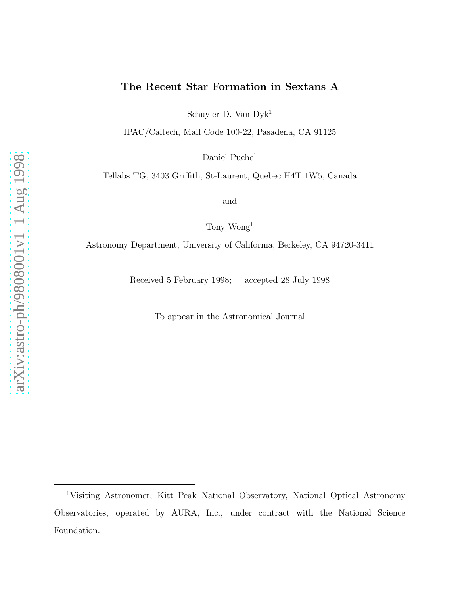# The Recent Star Formation in Sextans A

Schuyler D. Van Dyk<sup>1</sup>

IPAC/Caltech, Mail Code 100-22, Pasadena, CA 91125

Daniel Puche<sup>1</sup>

Tellabs TG, 3403 Griffith, St-Laurent, Quebec H4T 1W5, Canada

and

Tony Wong<sup>1</sup>

Astronomy Department, University of California, Berkeley, CA 94720-3411

Received 5 February 1998; accepted 28 July 1998

To appear in the Astronomical Journal

<sup>1</sup>Visiting Astronomer, Kitt Peak National Observatory, National Optical Astronomy Observatories, operated by AURA, Inc., under contract with the National Science Foundation.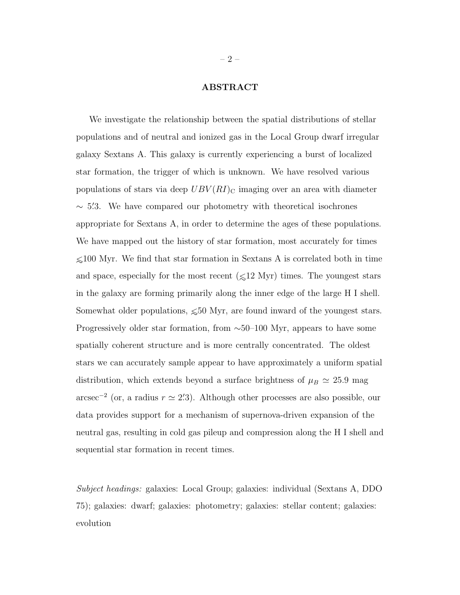# ABSTRACT

We investigate the relationship between the spatial distributions of stellar populations and of neutral and ionized gas in the Local Group dwarf irregular galaxy Sextans A. This galaxy is currently experiencing a burst of localized star formation, the trigger of which is unknown. We have resolved various populations of stars via deep  $UBV(RI)_{\text{C}}$  imaging over an area with diameter ∼ 5. ′ 3. We have compared our photometry with theoretical isochrones appropriate for Sextans A, in order to determine the ages of these populations. We have mapped out the history of star formation, most accurately for times  $≤100$  Myr. We find that star formation in Sextans A is correlated both in time and space, especially for the most recent  $({\leq}12 \text{ Myr})$  times. The youngest stars in the galaxy are forming primarily along the inner edge of the large H I shell. Somewhat older populations,  $\leq 50$  Myr, are found inward of the youngest stars. Progressively older star formation, from ∼50–100 Myr, appears to have some spatially coherent structure and is more centrally concentrated. The oldest stars we can accurately sample appear to have approximately a uniform spatial distribution, which extends beyond a surface brightness of  $\mu_B \simeq 25.9$  mag arcsec<sup>-2</sup> (or, a radius  $r \approx 2/3$ ). Although other processes are also possible, our data provides support for a mechanism of supernova-driven expansion of the neutral gas, resulting in cold gas pileup and compression along the H I shell and sequential star formation in recent times.

*Subject headings:* galaxies: Local Group; galaxies: individual (Sextans A, DDO 75); galaxies: dwarf; galaxies: photometry; galaxies: stellar content; galaxies: evolution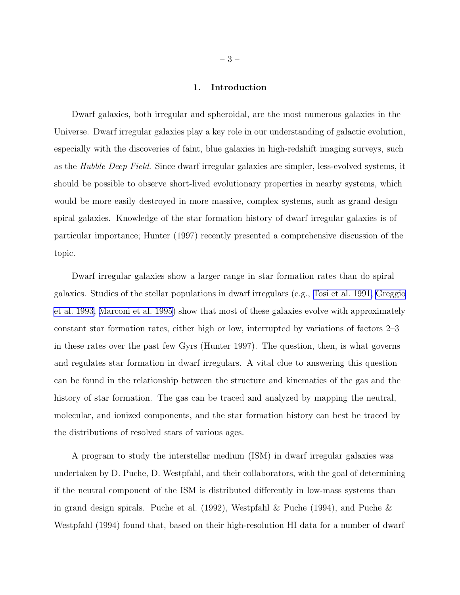## 1. Introduction

Dwarf galaxies, both irregular and spheroidal, are the most numerous galaxies in the Universe. Dwarf irregular galaxies play a key role in our understanding of galactic evolution, especially with the discoveries of faint, blue galaxies in high-redshift imaging surveys, such as the *Hubble Deep Field*. Since dwarf irregular galaxies are simpler, less-evolved systems, it should be possible to observe short-lived evolutionary properties in nearby systems, which would be more easily destroyed in more massive, complex systems, such as grand design spiral galaxies. Knowledge of the star formation history of dwarf irregular galaxies is of particular importance; Hunter (1997) recently presented a comprehensive discussion of the topic.

Dwarf irregular galaxies show a larger range in star formation rates than do spiral galaxies. Studies of the stellar populations in dwarf irregulars (e.g., [Tosi et al. 1991,](#page-44-0) [Greggio](#page-41-0) [et al. 1993,](#page-41-0) [Marconi et al. 1995\)](#page-42-0) show that most of these galaxies evolve with approximately constant star formation rates, either high or low, interrupted by variations of factors 2–3 in these rates over the past few Gyrs (Hunter 1997). The question, then, is what governs and regulates star formation in dwarf irregulars. A vital clue to answering this question can be found in the relationship between the structure and kinematics of the gas and the history of star formation. The gas can be traced and analyzed by mapping the neutral, molecular, and ionized components, and the star formation history can best be traced by the distributions of resolved stars of various ages.

A program to study the interstellar medium (ISM) in dwarf irregular galaxies was undertaken by D. Puche, D. Westpfahl, and their collaborators, with the goal of determining if the neutral component of the ISM is distributed differently in low-mass systems than in grand design spirals. Puche et al. (1992), Westpfahl & Puche (1994), and Puche & Westpfahl (1994) found that, based on their high-resolution HI data for a number of dwarf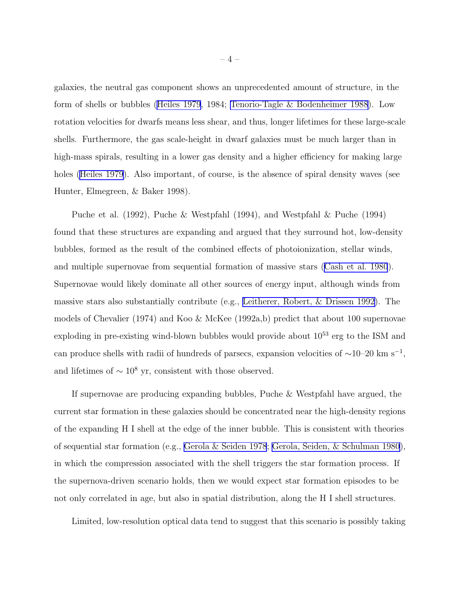galaxies, the neutral gas component shows an unprecedented amount of structure, in the form of shells or bubbles [\(Heiles 1979](#page-41-0), 1984; Tenorio-Tagle [& Bodenheimer 1988](#page-44-0)). Low rotation velocities for dwarfs means less shear, and thus, longer lifetimes for these large-scale shells. Furthermore, the gas scale-height in dwarf galaxies must be much larger than in high-mass spirals, resulting in a lower gas density and a higher efficiency for making large holes [\(Heiles 1979](#page-41-0)). Also important, of course, is the absence of spiral density waves (see Hunter, Elmegreen, & Baker 1998).

Puche et al. (1992), Puche & Westpfahl (1994), and Westpfahl & Puche (1994) found that these structures are expanding and argued that they surround hot, low-density bubbles, formed as the result of the combined effects of photoionization, stellar winds, and multiple supernovae from sequential formation of massive stars ([Cash et al. 1980](#page-40-0)). Supernovae would likely dominate all other sources of energy input, although winds from massive stars also substantially contribute (e.g., [Leitherer, Robert, & Drissen 1992\)](#page-42-0). The models of Chevalier (1974) and Koo & McKee (1992a,b) predict that about 100 supernovae exploding in pre-existing wind-blown bubbles would provide about  $10^{53}$  erg to the ISM and can produce shells with radii of hundreds of parsecs, expansion velocities of  $\sim$ 10–20 km s<sup>-1</sup>, and lifetimes of  $\sim 10^8$  yr, consistent with those observed.

If supernovae are producing expanding bubbles, Puche & Westpfahl have argued, the current star formation in these galaxies should be concentrated near the high-density regions of the expanding H I shell at the edge of the inner bubble. This is consistent with theories of sequential star formation (e.g., [Gerola & Seiden 1978](#page-41-0); [Gerola, Seiden, & Schulman 1980](#page-41-0)), in which the compression associated with the shell triggers the star formation process. If the supernova-driven scenario holds, then we would expect star formation episodes to be not only correlated in age, but also in spatial distribution, along the H I shell structures.

Limited, low-resolution optical data tend to suggest that this scenario is possibly taking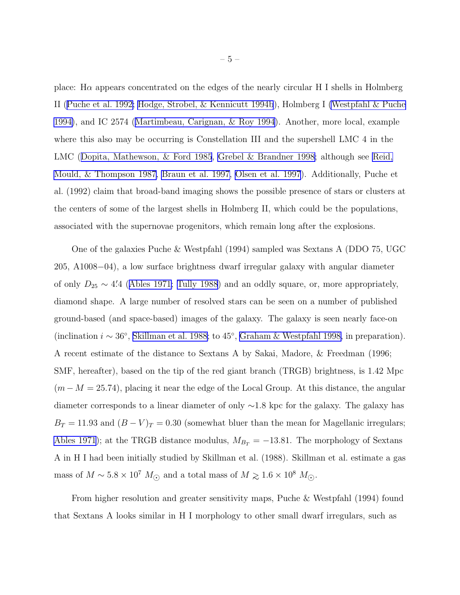place: Hα appears concentrated on the edges of the nearly circular H I shells in Holmberg II ([Puche et al. 1992;](#page-43-0) [Hodge, Strobel, & Kennicutt 1994b](#page-42-0)), Holmberg I [\(Westpfahl & Puche](#page-44-0) [1994\)](#page-44-0), and IC 2574 ([Martimbeau, Carignan, & Roy 1994\)](#page-42-0). Another, more local, example where this also may be occurring is Constellation III and the supershell LMC 4 in the LMC ([Dopita, Mathewson, & Ford 1985](#page-41-0), [Grebel & Brandner 1998](#page-41-0); although see [Reid,](#page-43-0) [Mould, & Thompson 1987,](#page-43-0) [Braun et al. 1997,](#page-40-0) [Olsen et al. 1997](#page-43-0)). Additionally, Puche et al. (1992) claim that broad-band imaging shows the possible presence of stars or clusters at the centers of some of the largest shells in Holmberg II, which could be the populations, associated with the supernovae progenitors, which remain long after the explosions.

One of the galaxies Puche & Westpfahl (1994) sampled was Sextans A (DDO 75, UGC 205, A1008−04), a low surface brightness dwarf irregular galaxy with angular diameter of only  $D_{25} \sim 4'$ 4 ([Ables 1971;](#page-40-0) [Tully 1988](#page-44-0)) and an oddly square, or, more appropriately, diamond shape. A large number of resolved stars can be seen on a number of published ground-based (and space-based) images of the galaxy. The galaxy is seen nearly face-on (inclination  $i \sim 36^\circ$ , [Skillman et al. 1988](#page-44-0); to 45°, [Graham & Westpfahl 1998,](#page-41-0) in preparation). A recent estimate of the distance to Sextans A by Sakai, Madore, & Freedman (1996; SMF, hereafter), based on the tip of the red giant branch (TRGB) brightness, is 1.42 Mpc  $(m-M = 25.74)$ , placing it near the edge of the Local Group. At this distance, the angular diameter corresponds to a linear diameter of only ∼1.8 kpc for the galaxy. The galaxy has  $B_T = 11.93$  and  $(B - V)_T = 0.30$  (somewhat bluer than the mean for Magellanic irregulars; [Ables 1971\)](#page-40-0); at the TRGB distance modulus,  $M_{B_T} = -13.81$ . The morphology of Sextans A in H I had been initially studied by Skillman et al. (1988). Skillman et al. estimate a gas mass of  $M \sim 5.8 \times 10^7~M_{\odot}$  and a total mass of  $M \gtrsim 1.6 \times 10^8~M_{\odot}.$ 

From higher resolution and greater sensitivity maps, Puche & Westpfahl (1994) found that Sextans A looks similar in H I morphology to other small dwarf irregulars, such as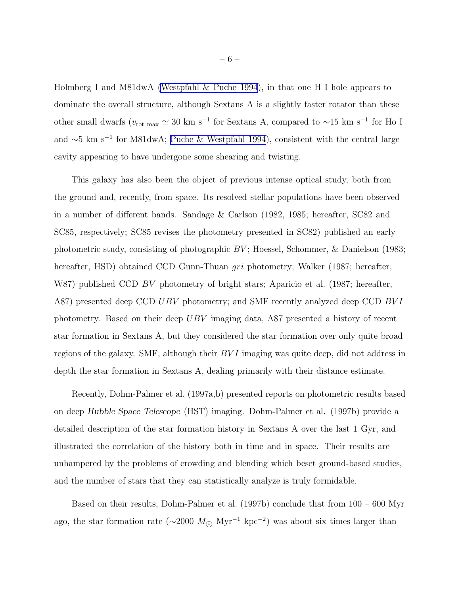Holmberg I and M81dwA [\(Westpfahl & Puche 1994](#page-44-0)), in that one H I hole appears to dominate the overall structure, although Sextans A is a slightly faster rotator than these other small dwarfs ( $v_{\rm rot \, max} \simeq 30 \rm \ km \ s^{-1}$  for Sextans A, compared to ~15 km s<sup>-1</sup> for Ho I and ∼5 km s<sup>−</sup><sup>1</sup> for M81dwA; [Puche & Westpfahl 1994](#page-43-0)), consistent with the central large cavity appearing to have undergone some shearing and twisting.

This galaxy has also been the object of previous intense optical study, both from the ground and, recently, from space. Its resolved stellar populations have been observed in a number of different bands. Sandage & Carlson (1982, 1985; hereafter, SC82 and SC85, respectively; SC85 revises the photometry presented in SC82) published an early photometric study, consisting of photographic  $BV$ ; Hoessel, Schommer, & Danielson (1983; hereafter, HSD) obtained CCD Gunn-Thuan gri photometry; Walker (1987; hereafter, W87) published CCD BV photometry of bright stars; Aparicio et al. (1987; hereafter, A87) presented deep CCD UBV photometry; and SMF recently analyzed deep CCD BVI photometry. Based on their deep UBV imaging data, A87 presented a history of recent star formation in Sextans A, but they considered the star formation over only quite broad regions of the galaxy. SMF, although their  $BVI$  imaging was quite deep, did not address in depth the star formation in Sextans A, dealing primarily with their distance estimate.

Recently, Dohm-Palmer et al. (1997a,b) presented reports on photometric results based on deep Hubble Space Telescope (HST) imaging. Dohm-Palmer et al. (1997b) provide a detailed description of the star formation history in Sextans A over the last 1 Gyr, and illustrated the correlation of the history both in time and in space. Their results are unhampered by the problems of crowding and blending which beset ground-based studies, and the number of stars that they can statistically analyze is truly formidable.

Based on their results, Dohm-Palmer et al. (1997b) conclude that from 100 – 600 Myr ago, the star formation rate ( $\sim$ 2000  $M_{\odot}$  Myr<sup>-1</sup> kpc<sup>-2</sup>) was about six times larger than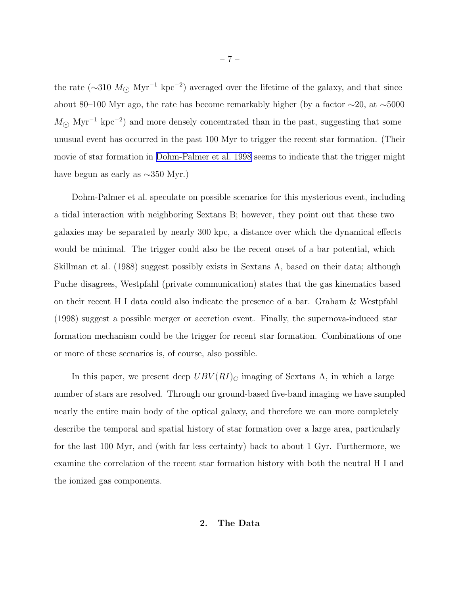the rate ( $\sim$ 310  $M_{\odot}$  Myr<sup>-1</sup> kpc<sup>-2</sup>) averaged over the lifetime of the galaxy, and that since about 80–100 Myr ago, the rate has become remarkably higher (by a factor ∼20, at ∼5000  $M_{\odot}$  Myr<sup>-1</sup> kpc<sup>-2</sup>) and more densely concentrated than in the past, suggesting that some unusual event has occurred in the past 100 Myr to trigger the recent star formation. (Their movie of star formation in [Dohm-Palmer et al. 1998](#page-41-0) seems to indicate that the trigger might have begun as early as ∼350 Myr.)

Dohm-Palmer et al. speculate on possible scenarios for this mysterious event, including a tidal interaction with neighboring Sextans B; however, they point out that these two galaxies may be separated by nearly 300 kpc, a distance over which the dynamical effects would be minimal. The trigger could also be the recent onset of a bar potential, which Skillman et al. (1988) suggest possibly exists in Sextans A, based on their data; although Puche disagrees, Westpfahl (private communication) states that the gas kinematics based on their recent H I data could also indicate the presence of a bar. Graham & Westpfahl (1998) suggest a possible merger or accretion event. Finally, the supernova-induced star formation mechanism could be the trigger for recent star formation. Combinations of one or more of these scenarios is, of course, also possible.

In this paper, we present deep  $UBV(RI)_{\text{C}}$  imaging of Sextans A, in which a large number of stars are resolved. Through our ground-based five-band imaging we have sampled nearly the entire main body of the optical galaxy, and therefore we can more completely describe the temporal and spatial history of star formation over a large area, particularly for the last 100 Myr, and (with far less certainty) back to about 1 Gyr. Furthermore, we examine the correlation of the recent star formation history with both the neutral H I and the ionized gas components.

## 2. The Data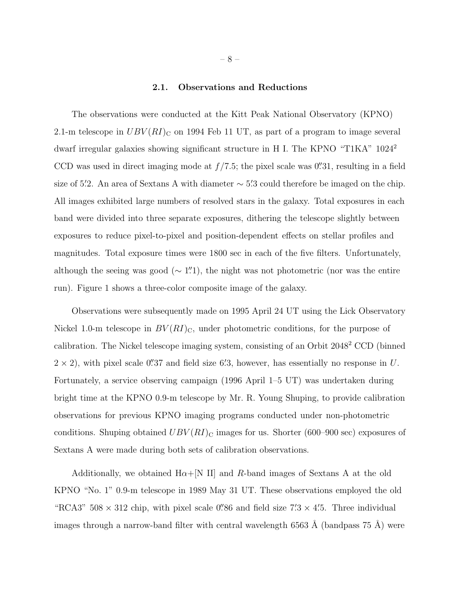## 2.1. Observations and Reductions

The observations were conducted at the Kitt Peak National Observatory (KPNO) 2.1-m telescope in  $UBV(RI)_{\text{C}}$  on 1994 Feb 11 UT, as part of a program to image several dwarf irregular galaxies showing significant structure in H I. The KPNO "T1KA" 1024<sup>2</sup> CCD was used in direct imaging mode at  $f/7.5$ ; the pixel scale was 0''31, resulting in a field size of 5.'2. An area of Sextans A with diameter  $\sim$  5.'3 could therefore be imaged on the chip. All images exhibited large numbers of resolved stars in the galaxy. Total exposures in each band were divided into three separate exposures, dithering the telescope slightly between exposures to reduce pixel-to-pixel and position-dependent effects on stellar profiles and magnitudes. Total exposure times were 1800 sec in each of the five filters. Unfortunately, although the seeing was good ( $\sim 1\overset{\prime\prime}{\ldots}1$ ), the night was not photometric (nor was the entire run). Figure 1 shows a three-color composite image of the galaxy.

Observations were subsequently made on 1995 April 24 UT using the Lick Observatory Nickel 1.0-m telescope in  $BV(RI)_{\text{C}}$ , under photometric conditions, for the purpose of calibration. The Nickel telescope imaging system, consisting of an Orbit 2048<sup>2</sup> CCD (binned  $2 \times 2$ , with pixel scale 0''37 and field size 6'3, however, has essentially no response in U. Fortunately, a service observing campaign (1996 April 1–5 UT) was undertaken during bright time at the KPNO 0.9-m telescope by Mr. R. Young Shuping, to provide calibration observations for previous KPNO imaging programs conducted under non-photometric conditions. Shuping obtained  $UBV(RI)_{\text{C}}$  images for us. Shorter (600–900 sec) exposures of Sextans A were made during both sets of calibration observations.

Additionally, we obtained  $H\alpha + [N II]$  and R-band images of Sextans A at the old KPNO "No. 1" 0.9-m telescope in 1989 May 31 UT. These observations employed the old "RCA3"  $508 \times 312$  chip, with pixel scale 0".86 and field size  $7.'3 \times 4'.5$ . Three individual images through a narrow-band filter with central wavelength 6563 Å (bandpass  $75 \text{ Å}$ ) were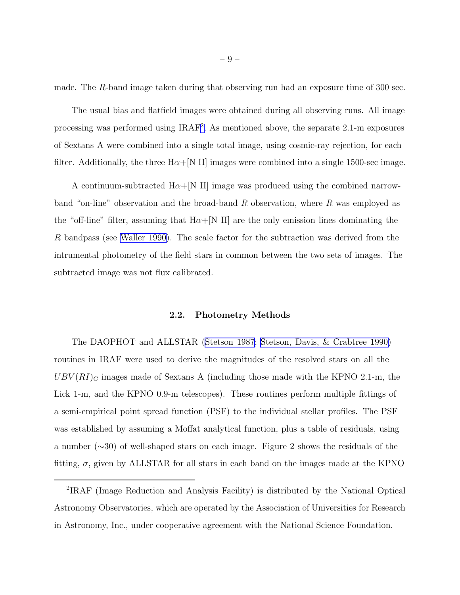made. The R-band image taken during that observing run had an exposure time of 300 sec.

The usual bias and flatfield images were obtained during all observing runs. All image processing was performed using IRAF<sup>2</sup>. As mentioned above, the separate 2.1-m exposures of Sextans A were combined into a single total image, using cosmic-ray rejection, for each filter. Additionally, the three  $H\alpha + [N II]$  images were combined into a single 1500-sec image.

A continuum-subtracted  $H\alpha+$ [N II] image was produced using the combined narrowband "on-line" observation and the broad-band R observation, where R was employed as the "off-line" filter, assuming that  $H\alpha+[N II]$  are the only emission lines dominating the R bandpass (see [Waller 1990](#page-44-0)). The scale factor for the subtraction was derived from the intrumental photometry of the field stars in common between the two sets of images. The subtracted image was not flux calibrated.

#### 2.2. Photometry Methods

The DAOPHOT and ALLSTAR [\(Stetson 1987](#page-44-0); [Stetson, Davis, & Crabtree 1990\)](#page-44-0) routines in IRAF were used to derive the magnitudes of the resolved stars on all the  $UBV(RI)_{\text{C}}$  images made of Sextans A (including those made with the KPNO 2.1-m, the Lick 1-m, and the KPNO 0.9-m telescopes). These routines perform multiple fittings of a semi-empirical point spread function (PSF) to the individual stellar profiles. The PSF was established by assuming a Moffat analytical function, plus a table of residuals, using a number (∼30) of well-shaped stars on each image. Figure 2 shows the residuals of the fitting,  $\sigma$ , given by ALLSTAR for all stars in each band on the images made at the KPNO

<sup>2</sup> IRAF (Image Reduction and Analysis Facility) is distributed by the National Optical Astronomy Observatories, which are operated by the Association of Universities for Research in Astronomy, Inc., under cooperative agreement with the National Science Foundation.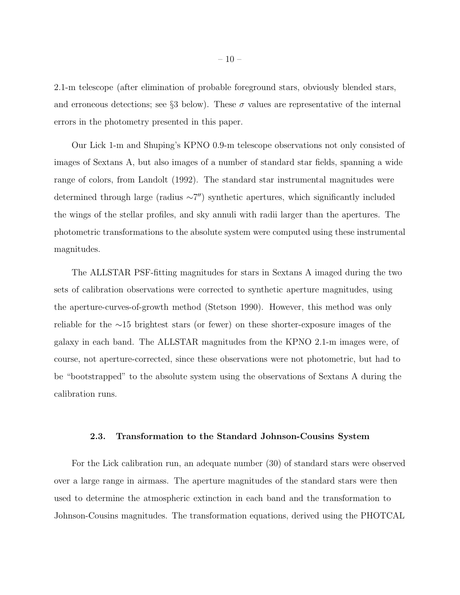2.1-m telescope (after elimination of probable foreground stars, obviously blended stars, and erroneous detections; see §3 below). These  $\sigma$  values are representative of the internal errors in the photometry presented in this paper.

Our Lick 1-m and Shuping's KPNO 0.9-m telescope observations not only consisted of images of Sextans A, but also images of a number of standard star fields, spanning a wide range of colors, from Landolt (1992). The standard star instrumental magnitudes were determined through large (radius ~7") synthetic apertures, which significantly included the wings of the stellar profiles, and sky annuli with radii larger than the apertures. The photometric transformations to the absolute system were computed using these instrumental magnitudes.

The ALLSTAR PSF-fitting magnitudes for stars in Sextans A imaged during the two sets of calibration observations were corrected to synthetic aperture magnitudes, using the aperture-curves-of-growth method (Stetson 1990). However, this method was only reliable for the ∼15 brightest stars (or fewer) on these shorter-exposure images of the galaxy in each band. The ALLSTAR magnitudes from the KPNO 2.1-m images were, of course, not aperture-corrected, since these observations were not photometric, but had to be "bootstrapped" to the absolute system using the observations of Sextans A during the calibration runs.

#### 2.3. Transformation to the Standard Johnson-Cousins System

For the Lick calibration run, an adequate number (30) of standard stars were observed over a large range in airmass. The aperture magnitudes of the standard stars were then used to determine the atmospheric extinction in each band and the transformation to Johnson-Cousins magnitudes. The transformation equations, derived using the PHOTCAL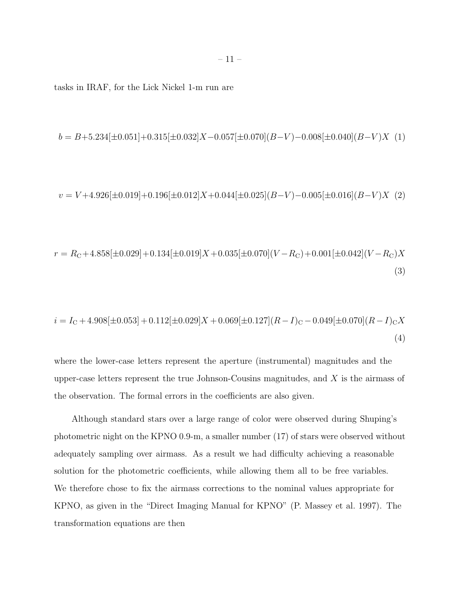tasks in IRAF, for the Lick Nickel 1-m run are

$$
b = B + 5.234[\pm 0.051] + 0.315[\pm 0.032]X - 0.057[\pm 0.070](B - V) - 0.008[\pm 0.040](B - V)X
$$
 (1)

$$
v = V + 4.926[\pm 0.019] + 0.196[\pm 0.012]X + 0.044[\pm 0.025](B - V) - 0.005[\pm 0.016](B - V)X(2)
$$

$$
r = R_{\rm C} + 4.858[\pm 0.029] + 0.134[\pm 0.019]X + 0.035[\pm 0.070](V - R_{\rm C}) + 0.001[\pm 0.042](V - R_{\rm C})X
$$
\n(3)

$$
i = I_{\rm C} + 4.908[\pm 0.053] + 0.112[\pm 0.029]X + 0.069[\pm 0.127](R - I)_{\rm C} - 0.049[\pm 0.070](R - I)_{\rm C}X
$$
\n(4)

where the lower-case letters represent the aperture (instrumental) magnitudes and the upper-case letters represent the true Johnson-Cousins magnitudes, and  $X$  is the airmass of the observation. The formal errors in the coefficients are also given.

Although standard stars over a large range of color were observed during Shuping's photometric night on the KPNO 0.9-m, a smaller number (17) of stars were observed without adequately sampling over airmass. As a result we had difficulty achieving a reasonable solution for the photometric coefficients, while allowing them all to be free variables. We therefore chose to fix the airmass corrections to the nominal values appropriate for KPNO, as given in the "Direct Imaging Manual for KPNO" (P. Massey et al. 1997). The transformation equations are then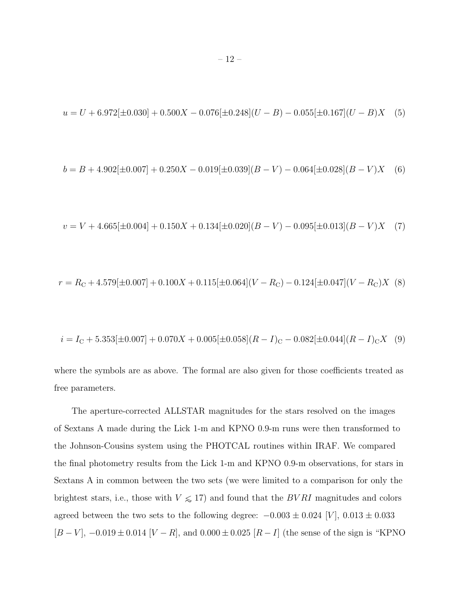$$
u = U + 6.972[\pm 0.030] + 0.500X - 0.076[\pm 0.248](U - B) - 0.055[\pm 0.167](U - B)X
$$
 (5)

$$
b = B + 4.902[\pm 0.007] + 0.250X - 0.019[\pm 0.039](B - V) - 0.064[\pm 0.028](B - V)X
$$
 (6)

$$
v = V + 4.665[\pm 0.004] + 0.150X + 0.134[\pm 0.020](B - V) - 0.095[\pm 0.013](B - V)X
$$
 (7)

$$
r = R_{\rm C} + 4.579[\pm 0.007] + 0.100X + 0.115[\pm 0.064](V - R_{\rm C}) - 0.124[\pm 0.047](V - R_{\rm C})X
$$
 (8)

$$
i = I_{\rm C} + 5.353[\pm 0.007] + 0.070X + 0.005[\pm 0.058](R - I)_{\rm C} - 0.082[\pm 0.044](R - I)_{\rm C}X
$$
 (9)

where the symbols are as above. The formal are also given for those coefficients treated as free parameters.

The aperture-corrected ALLSTAR magnitudes for the stars resolved on the images of Sextans A made during the Lick 1-m and KPNO 0.9-m runs were then transformed to the Johnson-Cousins system using the PHOTCAL routines within IRAF. We compared the final photometry results from the Lick 1-m and KPNO 0.9-m observations, for stars in Sextans A in common between the two sets (we were limited to a comparison for only the brightest stars, i.e., those with  $V \le 17$ ) and found that the  $BVRI$  magnitudes and colors agreed between the two sets to the following degree:  $-0.003 \pm 0.024$  [V],  $0.013 \pm 0.033$  $[B-V]$ ,  $-0.019 \pm 0.014$  [ $V-R$ ], and  $0.000 \pm 0.025$  [ $R-I$ ] (the sense of the sign is "KPNO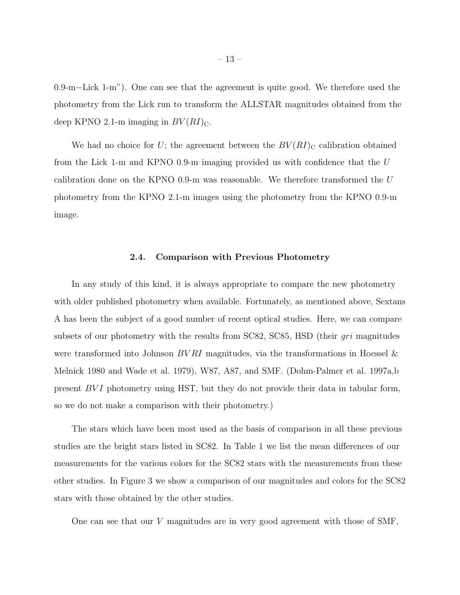0.9-m−Lick 1-m"). One can see that the agreement is quite good. We therefore used the photometry from the Lick run to transform the ALLSTAR magnitudes obtained from the deep KPNO 2.1-m imaging in  $BV(RI)_{\text{C}}$ .

We had no choice for U; the agreement between the  $BV(RI)_{\text{C}}$  calibration obtained from the Lick 1-m and KPNO 0.9-m imaging provided us with confidence that the  $U$ calibration done on the KPNO 0.9-m was reasonable. We therefore transformed the  $U$ photometry from the KPNO 2.1-m images using the photometry from the KPNO 0.9-m image.

#### 2.4. Comparison with Previous Photometry

In any study of this kind, it is always appropriate to compare the new photometry with older published photometry when available. Fortunately, as mentioned above, Sextans A has been the subject of a good number of recent optical studies. Here, we can compare subsets of our photometry with the results from SC82, SC85, HSD (their *gri* magnitudes were transformed into Johnson  $BVRI$  magnitudes, via the transformations in Hoessel & Melnick 1980 and Wade et al. 1979), W87, A87, and SMF. (Dohm-Palmer et al. 1997a,b present  $BVI$  photometry using HST, but they do not provide their data in tabular form, so we do not make a comparison with their photometry.)

The stars which have been most used as the basis of comparison in all these previous studies are the bright stars listed in SC82. In Table 1 we list the mean differences of our measurements for the various colors for the SC82 stars with the measurements from these other studies. In Figure 3 we show a comparison of our magnitudes and colors for the SC82 stars with those obtained by the other studies.

One can see that our V magnitudes are in very good agreement with those of SMF,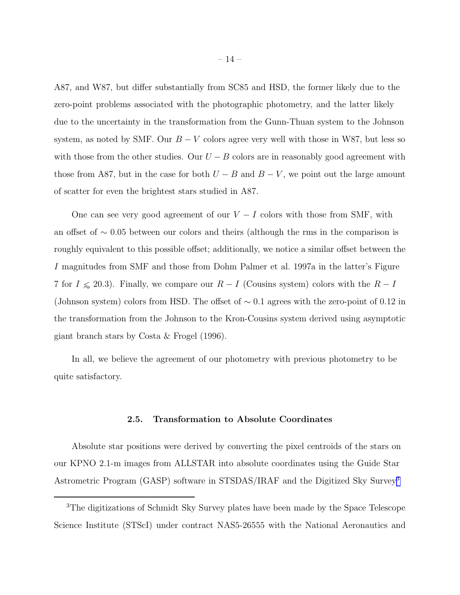A87, and W87, but differ substantially from SC85 and HSD, the former likely due to the zero-point problems associated with the photographic photometry, and the latter likely due to the uncertainty in the transformation from the Gunn-Thuan system to the Johnson system, as noted by SMF. Our  $B - V$  colors agree very well with those in W87, but less so with those from the other studies. Our  $U - B$  colors are in reasonably good agreement with those from A87, but in the case for both  $U - B$  and  $B - V$ , we point out the large amount of scatter for even the brightest stars studied in A87.

One can see very good agreement of our  $V - I$  colors with those from SMF, with an offset of ∼ 0.05 between our colors and theirs (although the rms in the comparison is roughly equivalent to this possible offset; additionally, we notice a similar offset between the I magnitudes from SMF and those from Dohm Palmer et al. 1997a in the latter's Figure 7 for  $I \le 20.3$ ). Finally, we compare our  $R - I$  (Cousins system) colors with the  $R - I$ (Johnson system) colors from HSD. The offset of ∼ 0.1 agrees with the zero-point of 0.12 in the transformation from the Johnson to the Kron-Cousins system derived using asymptotic giant branch stars by Costa & Frogel (1996).

In all, we believe the agreement of our photometry with previous photometry to be quite satisfactory.

## 2.5. Transformation to Absolute Coordinates

Absolute star positions were derived by converting the pixel centroids of the stars on our KPNO 2.1-m images from ALLSTAR into absolute coordinates using the Guide Star Astrometric Program (GASP) software in STSDAS/IRAF and the Digitized Sky Survey<sup>3</sup>

<sup>3</sup>The digitizations of Schmidt Sky Survey plates have been made by the Space Telescope Science Institute (STScI) under contract NAS5-26555 with the National Aeronautics and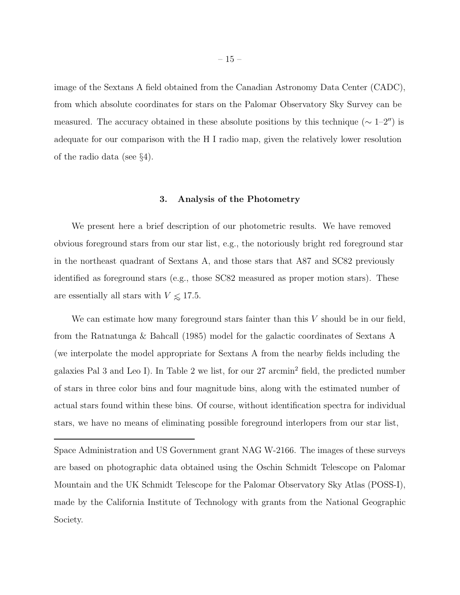image of the Sextans A field obtained from the Canadian Astronomy Data Center (CADC), from which absolute coordinates for stars on the Palomar Observatory Sky Survey can be measured. The accuracy obtained in these absolute positions by this technique ( $\sim 1-2''$ ) is adequate for our comparison with the H I radio map, given the relatively lower resolution of the radio data (see §4).

## 3. Analysis of the Photometry

We present here a brief description of our photometric results. We have removed obvious foreground stars from our star list, e.g., the notoriously bright red foreground star in the northeast quadrant of Sextans A, and those stars that A87 and SC82 previously identified as foreground stars (e.g., those SC82 measured as proper motion stars). These are essentially all stars with  $V \le 17.5$ .

We can estimate how many foreground stars fainter than this  $V$  should be in our field. from the Ratnatunga & Bahcall (1985) model for the galactic coordinates of Sextans A (we interpolate the model appropriate for Sextans A from the nearby fields including the galaxies Pal 3 and Leo I). In Table 2 we list, for our 27 arcmin<sup>2</sup> field, the predicted number of stars in three color bins and four magnitude bins, along with the estimated number of actual stars found within these bins. Of course, without identification spectra for individual stars, we have no means of eliminating possible foreground interlopers from our star list,

Space Administration and US Government grant NAG W-2166. The images of these surveys are based on photographic data obtained using the Oschin Schmidt Telescope on Palomar Mountain and the UK Schmidt Telescope for the Palomar Observatory Sky Atlas (POSS-I), made by the California Institute of Technology with grants from the National Geographic Society.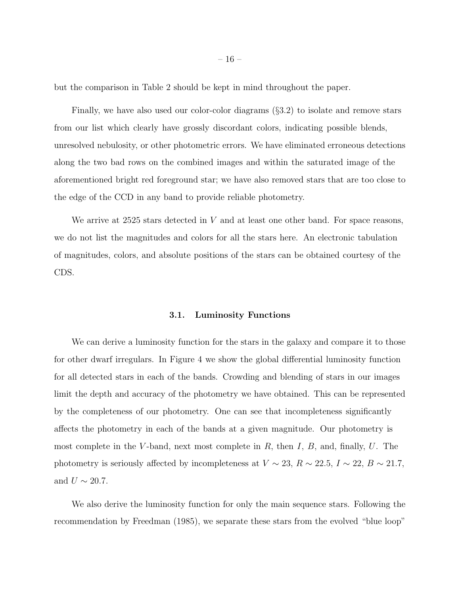but the comparison in Table 2 should be kept in mind throughout the paper.

Finally, we have also used our color-color diagrams (§3.2) to isolate and remove stars from our list which clearly have grossly discordant colors, indicating possible blends, unresolved nebulosity, or other photometric errors. We have eliminated erroneous detections along the two bad rows on the combined images and within the saturated image of the aforementioned bright red foreground star; we have also removed stars that are too close to the edge of the CCD in any band to provide reliable photometry.

We arrive at  $2525$  stars detected in V and at least one other band. For space reasons, we do not list the magnitudes and colors for all the stars here. An electronic tabulation of magnitudes, colors, and absolute positions of the stars can be obtained courtesy of the CDS.

# 3.1. Luminosity Functions

We can derive a luminosity function for the stars in the galaxy and compare it to those for other dwarf irregulars. In Figure 4 we show the global differential luminosity function for all detected stars in each of the bands. Crowding and blending of stars in our images limit the depth and accuracy of the photometry we have obtained. This can be represented by the completeness of our photometry. One can see that incompleteness significantly affects the photometry in each of the bands at a given magnitude. Our photometry is most complete in the V-band, next most complete in  $R$ , then  $I, B$ , and, finally,  $U$ . The photometry is seriously affected by incompleteness at  $V \sim 23, R \sim 22.5, I \sim 22, B \sim 21.7,$ and  $U \sim 20.7$ .

We also derive the luminosity function for only the main sequence stars. Following the recommendation by Freedman (1985), we separate these stars from the evolved "blue loop"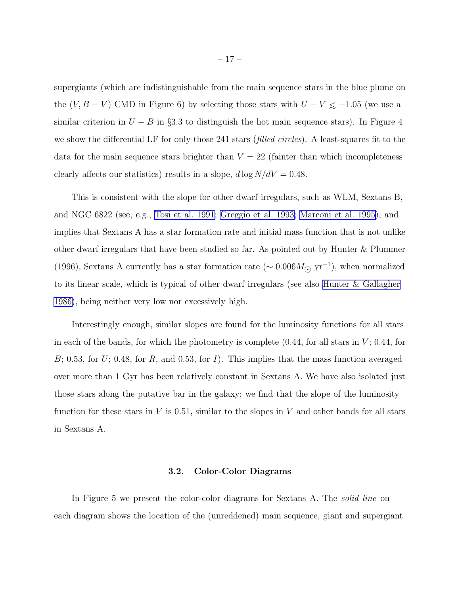supergiants (which are indistinguishable from the main sequence stars in the blue plume on the  $(V, B - V)$  CMD in Figure 6) by selecting those stars with  $U - V \le -1.05$  (we use a similar criterion in  $U - B$  in §3.3 to distinguish the hot main sequence stars). In Figure 4 we show the differential LF for only those 241 stars (*filled circles*). A least-squares fit to the data for the main sequence stars brighter than  $V = 22$  (fainter than which incompleteness clearly affects our statistics) results in a slope,  $d \log N/dV = 0.48$ .

This is consistent with the slope for other dwarf irregulars, such as WLM, Sextans B, and NGC 6822 (see, e.g., [Tosi et al. 1991;](#page-44-0) [Greggio et al. 1993;](#page-41-0) [Marconi et al. 1995\)](#page-42-0), and implies that Sextans A has a star formation rate and initial mass function that is not unlike other dwarf irregulars that have been studied so far. As pointed out by Hunter & Plummer (1996), Sextans A currently has a star formation rate  $(\sim 0.006 M_{\odot} \text{ yr}^{-1})$ , when normalized to its linear scale, which is typical of other dwarf irregulars (see also [Hunter & Gallagher](#page-42-0) [1986\)](#page-42-0), being neither very low nor excessively high.

Interestingly enough, similar slopes are found for the luminosity functions for all stars in each of the bands, for which the photometry is complete  $(0.44, \text{ for all stars in } V; 0.44, \text{ for }$ B; 0.53, for U; 0.48, for R, and 0.53, for I). This implies that the mass function averaged over more than 1 Gyr has been relatively constant in Sextans A. We have also isolated just those stars along the putative bar in the galaxy; we find that the slope of the luminosity function for these stars in  $V$  is 0.51, similar to the slopes in  $V$  and other bands for all stars in Sextans A.

#### 3.2. Color-Color Diagrams

In Figure 5 we present the color-color diagrams for Sextans A. The *solid line* on each diagram shows the location of the (unreddened) main sequence, giant and supergiant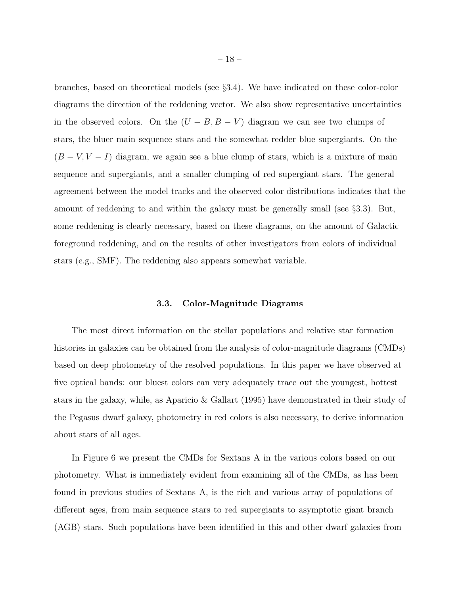branches, based on theoretical models (see §3.4). We have indicated on these color-color diagrams the direction of the reddening vector. We also show representative uncertainties in the observed colors. On the  $(U - B, B - V)$  diagram we can see two clumps of stars, the bluer main sequence stars and the somewhat redder blue supergiants. On the  $(B - V, V - I)$  diagram, we again see a blue clump of stars, which is a mixture of main sequence and supergiants, and a smaller clumping of red supergiant stars. The general agreement between the model tracks and the observed color distributions indicates that the amount of reddening to and within the galaxy must be generally small (see §3.3). But, some reddening is clearly necessary, based on these diagrams, on the amount of Galactic foreground reddening, and on the results of other investigators from colors of individual stars (e.g., SMF). The reddening also appears somewhat variable.

# 3.3. Color-Magnitude Diagrams

The most direct information on the stellar populations and relative star formation histories in galaxies can be obtained from the analysis of color-magnitude diagrams (CMDs) based on deep photometry of the resolved populations. In this paper we have observed at five optical bands: our bluest colors can very adequately trace out the youngest, hottest stars in the galaxy, while, as Aparicio & Gallart (1995) have demonstrated in their study of the Pegasus dwarf galaxy, photometry in red colors is also necessary, to derive information about stars of all ages.

In Figure 6 we present the CMDs for Sextans A in the various colors based on our photometry. What is immediately evident from examining all of the CMDs, as has been found in previous studies of Sextans A, is the rich and various array of populations of different ages, from main sequence stars to red supergiants to asymptotic giant branch (AGB) stars. Such populations have been identified in this and other dwarf galaxies from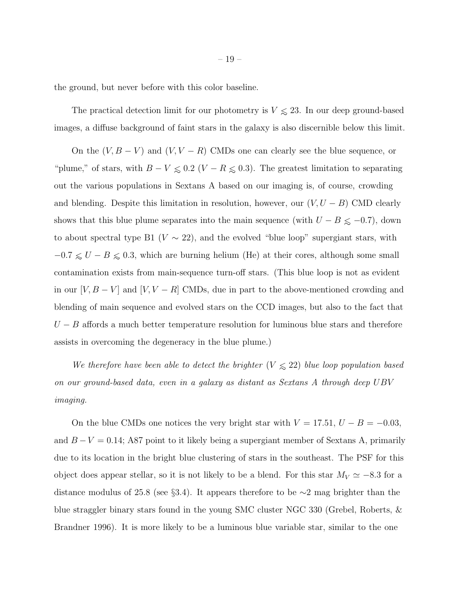the ground, but never before with this color baseline.

The practical detection limit for our photometry is  $V \le 23$ . In our deep ground-based images, a diffuse background of faint stars in the galaxy is also discernible below this limit.

On the  $(V, B - V)$  and  $(V, V - R)$  CMDs one can clearly see the blue sequence, or "plume," of stars, with  $B - V \le 0.2$  ( $V - R \le 0.3$ ). The greatest limitation to separating out the various populations in Sextans A based on our imaging is, of course, crowding and blending. Despite this limitation in resolution, however, our  $(V, U - B)$  CMD clearly shows that this blue plume separates into the main sequence (with  $U - B \leq -0.7$ ), down to about spectral type B1 ( $V \sim 22$ ), and the evolved "blue loop" supergiant stars, with  $-0.7 \le U - B \le 0.3$ , which are burning helium (He) at their cores, although some small contamination exists from main-sequence turn-off stars. (This blue loop is not as evident in our  $[V, B - V]$  and  $[V, V - R]$  CMDs, due in part to the above-mentioned crowding and blending of main sequence and evolved stars on the CCD images, but also to the fact that  $U - B$  affords a much better temperature resolution for luminous blue stars and therefore assists in overcoming the degeneracy in the blue plume.)

*We therefore have been able to detect the brighter* ( $V \le 22$ ) *blue loop population based on our ground-based data, even in a galaxy as distant as Sextans A through deep* UBV *imaging.*

On the blue CMDs one notices the very bright star with  $V = 17.51, U - B = -0.03$ , and  $B - V = 0.14$ ; A87 point to it likely being a supergiant member of Sextans A, primarily due to its location in the bright blue clustering of stars in the southeast. The PSF for this object does appear stellar, so it is not likely to be a blend. For this star  $M_V \simeq -8.3$  for a distance modulus of 25.8 (see §3.4). It appears therefore to be ∼2 mag brighter than the blue straggler binary stars found in the young SMC cluster NGC 330 (Grebel, Roberts, & Brandner 1996). It is more likely to be a luminous blue variable star, similar to the one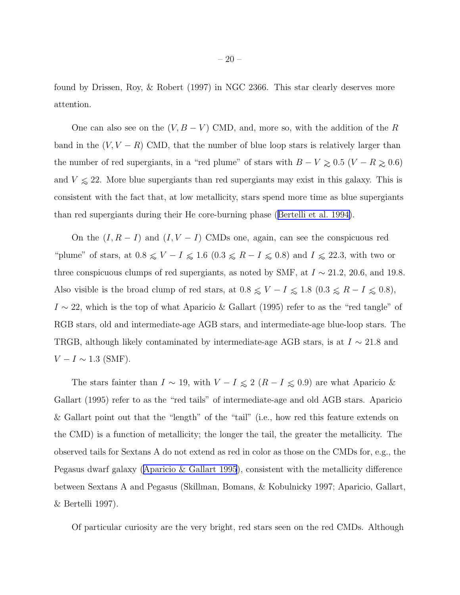found by Drissen, Roy, & Robert (1997) in NGC 2366. This star clearly deserves more attention.

One can also see on the  $(V, B - V)$  CMD, and, more so, with the addition of the R band in the  $(V, V - R)$  CMD, that the number of blue loop stars is relatively larger than the number of red supergiants, in a "red plume" of stars with  $B-V \gtrsim 0.5~(V-R \gtrsim 0.6)$ and  $V \le 22$ . More blue supergiants than red supergiants may exist in this galaxy. This is consistent with the fact that, at low metallicity, stars spend more time as blue supergiants than red supergiants during their He core-burning phase ([Bertelli et al. 1994\)](#page-40-0).

On the  $(I, R - I)$  and  $(I, V - I)$  CMDs one, again, can see the conspicuous red "plume" of stars, at  $0.8 \leq V - I \leq 1.6$   $(0.3 \leq R - I \leq 0.8)$  and  $I \leq 22.3$ , with two or three conspicuous clumps of red supergiants, as noted by SMF, at  $I \sim 21.2$ , 20.6, and 19.8. Also visible is the broad clump of red stars, at  $0.8 \leq V - I \leq 1.8$   $(0.3 \leq R - I \leq 0.8)$ ,  $I \sim 22$ , which is the top of what Aparicio & Gallart (1995) refer to as the "red tangle" of RGB stars, old and intermediate-age AGB stars, and intermediate-age blue-loop stars. The TRGB, although likely contaminated by intermediate-age AGB stars, is at  $I \sim 21.8$  and  $V - I \sim 1.3$  (SMF).

The stars fainter than  $I \sim 19$ , with  $V - I \leq 2 (R - I \leq 0.9)$  are what Aparicio & Gallart (1995) refer to as the "red tails" of intermediate-age and old AGB stars. Aparicio & Gallart point out that the "length" of the "tail" (i.e., how red this feature extends on the CMD) is a function of metallicity; the longer the tail, the greater the metallicity. The observed tails for Sextans A do not extend as red in color as those on the CMDs for, e.g., the Pegasus dwarf galaxy ([Aparicio & Gallart 1995](#page-40-0)), consistent with the metallicity difference between Sextans A and Pegasus (Skillman, Bomans, & Kobulnicky 1997; Aparicio, Gallart, & Bertelli 1997).

Of particular curiosity are the very bright, red stars seen on the red CMDs. Although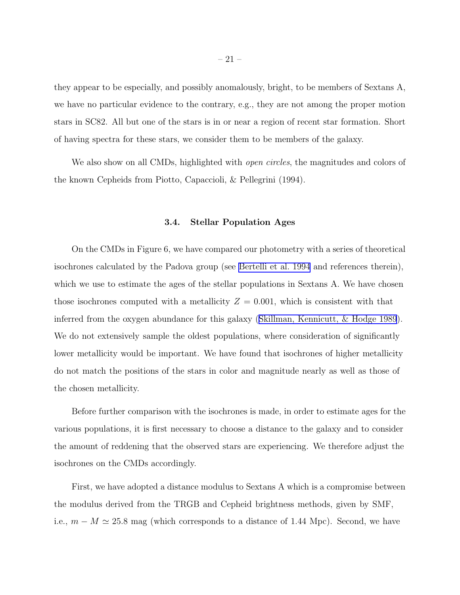they appear to be especially, and possibly anomalously, bright, to be members of Sextans A, we have no particular evidence to the contrary, e.g., they are not among the proper motion stars in SC82. All but one of the stars is in or near a region of recent star formation. Short of having spectra for these stars, we consider them to be members of the galaxy.

We also show on all CMDs, highlighted with *open circles*, the magnitudes and colors of the known Cepheids from Piotto, Capaccioli, & Pellegrini (1994).

## 3.4. Stellar Population Ages

On the CMDs in Figure 6, we have compared our photometry with a series of theoretical isochrones calculated by the Padova group (see [Bertelli et al. 1994](#page-40-0) and references therein), which we use to estimate the ages of the stellar populations in Sextans A. We have chosen those isochrones computed with a metallicity  $Z = 0.001$ , which is consistent with that inferred from the oxygen abundance for this galaxy ([Skillman, Kennicutt, & Hodge 1989](#page-44-0)). We do not extensively sample the oldest populations, where consideration of significantly lower metallicity would be important. We have found that isochrones of higher metallicity do not match the positions of the stars in color and magnitude nearly as well as those of the chosen metallicity.

Before further comparison with the isochrones is made, in order to estimate ages for the various populations, it is first necessary to choose a distance to the galaxy and to consider the amount of reddening that the observed stars are experiencing. We therefore adjust the isochrones on the CMDs accordingly.

First, we have adopted a distance modulus to Sextans A which is a compromise between the modulus derived from the TRGB and Cepheid brightness methods, given by SMF, i.e.,  $m - M \simeq 25.8$  mag (which corresponds to a distance of 1.44 Mpc). Second, we have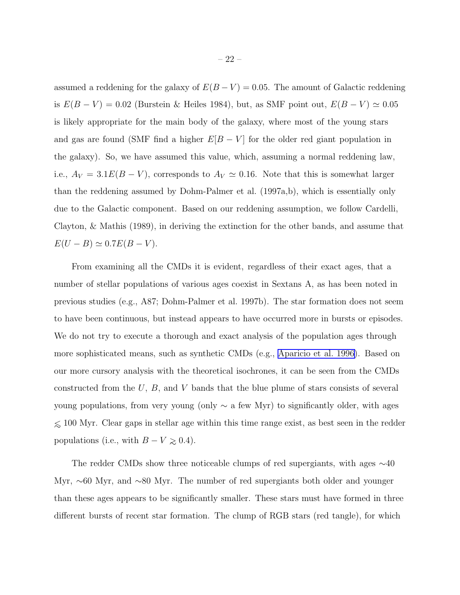assumed a reddening for the galaxy of  $E(B-V) = 0.05$ . The amount of Galactic reddening is  $E(B - V) = 0.02$  (Burstein & Heiles 1984), but, as SMF point out,  $E(B - V) \simeq 0.05$ is likely appropriate for the main body of the galaxy, where most of the young stars and gas are found (SMF find a higher  $E[B-V]$  for the older red giant population in the galaxy). So, we have assumed this value, which, assuming a normal reddening law, i.e.,  $A_V = 3.1E(B - V)$ , corresponds to  $A_V \simeq 0.16$ . Note that this is somewhat larger than the reddening assumed by Dohm-Palmer et al. (1997a,b), which is essentially only due to the Galactic component. Based on our reddening assumption, we follow Cardelli, Clayton, & Mathis (1989), in deriving the extinction for the other bands, and assume that  $E(U - B) \simeq 0.7E(B - V).$ 

From examining all the CMDs it is evident, regardless of their exact ages, that a number of stellar populations of various ages coexist in Sextans A, as has been noted in previous studies (e.g., A87; Dohm-Palmer et al. 1997b). The star formation does not seem to have been continuous, but instead appears to have occurred more in bursts or episodes. We do not try to execute a thorough and exact analysis of the population ages through more sophisticated means, such as synthetic CMDs (e.g., [Aparicio et al. 1996\)](#page-40-0). Based on our more cursory analysis with the theoretical isochrones, it can be seen from the CMDs constructed from the  $U, B$ , and V bands that the blue plume of stars consists of several young populations, from very young (only  $\sim$  a few Myr) to significantly older, with ages  $\leq 100$  Myr. Clear gaps in stellar age within this time range exist, as best seen in the redder populations (i.e., with  $B - V \ge 0.4$ ).

The redder CMDs show three noticeable clumps of red supergiants, with ages ∼40 Myr, ∼60 Myr, and ∼80 Myr. The number of red supergiants both older and younger than these ages appears to be significantly smaller. These stars must have formed in three different bursts of recent star formation. The clump of RGB stars (red tangle), for which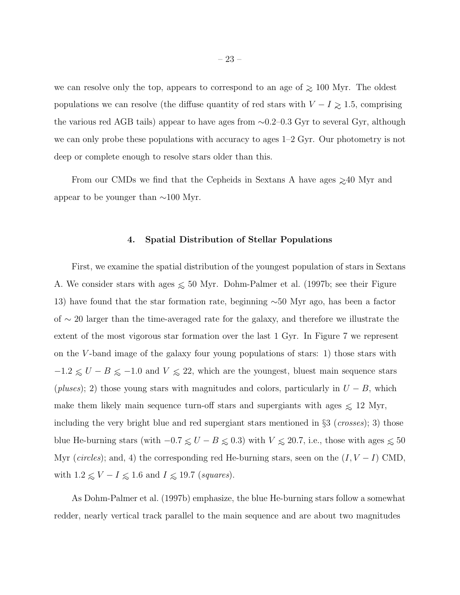we can resolve only the top, appears to correspond to an age of  $\geq 100$  Myr. The oldest populations we can resolve (the diffuse quantity of red stars with  $V - I \geq 1.5$ , comprising the various red AGB tails) appear to have ages from ∼0.2–0.3 Gyr to several Gyr, although we can only probe these populations with accuracy to ages 1–2 Gyr. Our photometry is not deep or complete enough to resolve stars older than this.

From our CMDs we find that the Cepheids in Sextans A have ages  $\gtrsim$ 40 Myr and appear to be younger than  $\sim$ 100 Myr.

## 4. Spatial Distribution of Stellar Populations

First, we examine the spatial distribution of the youngest population of stars in Sextans A. We consider stars with ages  $\leq 50$  Myr. Dohm-Palmer et al. (1997b; see their Figure 13) have found that the star formation rate, beginning ∼50 Myr ago, has been a factor of ∼ 20 larger than the time-averaged rate for the galaxy, and therefore we illustrate the extent of the most vigorous star formation over the last 1 Gyr. In Figure 7 we represent on the V -band image of the galaxy four young populations of stars: 1) those stars with  $-1.2 \le U - B \le -1.0$  and  $V \le 22$ , which are the youngest, bluest main sequence stars (*pluses*); 2) those young stars with magnitudes and colors, particularly in  $U - B$ , which make them likely main sequence turn-off stars and supergiants with ages  $\leq 12$  Myr, including the very bright blue and red supergiant stars mentioned in §3 (*crosses*); 3) those blue He-burning stars (with  $-0.7 \le U - B \le 0.3$ ) with  $V \le 20.7$ , i.e., those with ages  $\le 50$ Myr ( $circles$ ); and, 4) the corresponding red He-burning stars, seen on the  $(I, V - I)$  CMD, with  $1.2 \leq V - I \leq 1.6$  and  $I \leq 19.7$  (*squares*).

As Dohm-Palmer et al. (1997b) emphasize, the blue He-burning stars follow a somewhat redder, nearly vertical track parallel to the main sequence and are about two magnitudes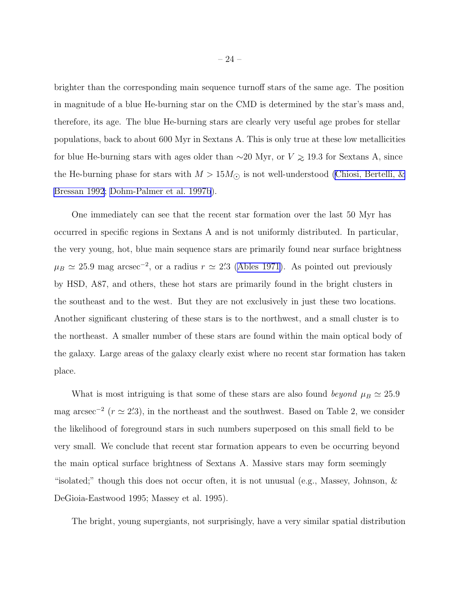brighter than the corresponding main sequence turnoff stars of the same age. The position in magnitude of a blue He-burning star on the CMD is determined by the star's mass and, therefore, its age. The blue He-burning stars are clearly very useful age probes for stellar populations, back to about 600 Myr in Sextans A. This is only true at these low metallicities for blue He-burning stars with ages older than  $\sim$ 20 Myr, or  $V \gtrsim 19.3$  for Sextans A, since the He-burning phase for stars with  $M > 15 M_{\odot}$  is not well-understood [\(Chiosi, Bertelli, &](#page-40-0) [Bressan 1992](#page-40-0); [Dohm-Palmer et al. 1997b](#page-41-0)).

One immediately can see that the recent star formation over the last 50 Myr has occurred in specific regions in Sextans A and is not uniformly distributed. In particular, the very young, hot, blue main sequence stars are primarily found near surface brightness  $\mu_B \simeq 25.9$  mag arcsec<sup>-2</sup>, or a radius  $r \simeq 2/3$  [\(Ables 1971\)](#page-40-0). As pointed out previously by HSD, A87, and others, these hot stars are primarily found in the bright clusters in the southeast and to the west. But they are not exclusively in just these two locations. Another significant clustering of these stars is to the northwest, and a small cluster is to the northeast. A smaller number of these stars are found within the main optical body of the galaxy. Large areas of the galaxy clearly exist where no recent star formation has taken place.

What is most intriguing is that some of these stars are also found *beyond*  $\mu_B \simeq 25.9$ mag arcsec<sup>-2</sup> ( $r \approx 2/3$ ), in the northeast and the southwest. Based on Table 2, we consider the likelihood of foreground stars in such numbers superposed on this small field to be very small. We conclude that recent star formation appears to even be occurring beyond the main optical surface brightness of Sextans A. Massive stars may form seemingly "isolated;" though this does not occur often, it is not unusual (e.g., Massey, Johnson, & DeGioia-Eastwood 1995; Massey et al. 1995).

The bright, young supergiants, not surprisingly, have a very similar spatial distribution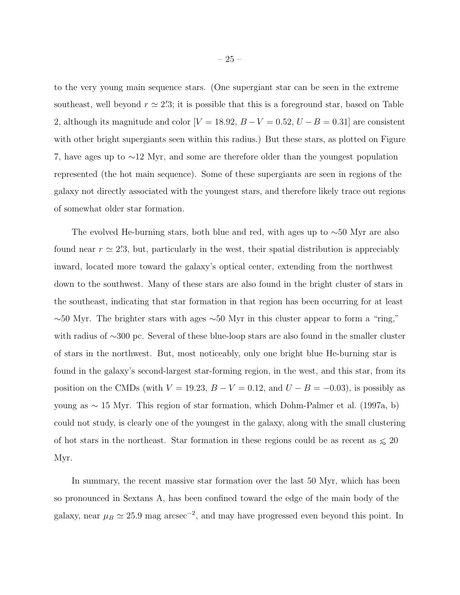to the very young main sequence stars. (One supergiant star can be seen in the extreme southeast, well beyond  $r \simeq 2/3$ ; it is possible that this is a foreground star, based on Table 2, although its magnitude and color  $[V = 18.92, B - V = 0.52, U - B = 0.31]$  are consistent with other bright supergiants seen within this radius.) But these stars, as plotted on Figure 7, have ages up to ∼12 Myr, and some are therefore older than the youngest population represented (the hot main sequence). Some of these supergiants are seen in regions of the galaxy not directly associated with the youngest stars, and therefore likely trace out regions of somewhat older star formation.

The evolved He-burning stars, both blue and red, with ages up to  $\sim$ 50 Myr are also found near  $r \approx 2/3$ , but, particularly in the west, their spatial distribution is appreciably inward, located more toward the galaxy's optical center, extending from the northwest down to the southwest. Many of these stars are also found in the bright cluster of stars in the southeast, indicating that star formation in that region has been occurring for at least  $\sim$ 50 Myr. The brighter stars with ages  $\sim$ 50 Myr in this cluster appear to form a "ring," with radius of ∼300 pc. Several of these blue-loop stars are also found in the smaller cluster of stars in the northwest. But, most noticeably, only one bright blue He-burning star is found in the galaxy's second-largest star-forming region, in the west, and this star, from its position on the CMDs (with  $V = 19.23$ ,  $B - V = 0.12$ , and  $U - B = -0.03$ ), is possibly as young as ∼ 15 Myr. This region of star formation, which Dohm-Palmer et al. (1997a, b) could not study, is clearly one of the youngest in the galaxy, along with the small clustering of hot stars in the northeast. Star formation in these regions could be as recent as  $\le 20$ Myr.

In summary, the recent massive star formation over the last 50 Myr, which has been so pronounced in Sextans A, has been confined toward the edge of the main body of the galaxy, near  $\mu_B \simeq 25.9$  mag arcsec<sup>-2</sup>, and may have progressed even beyond this point. In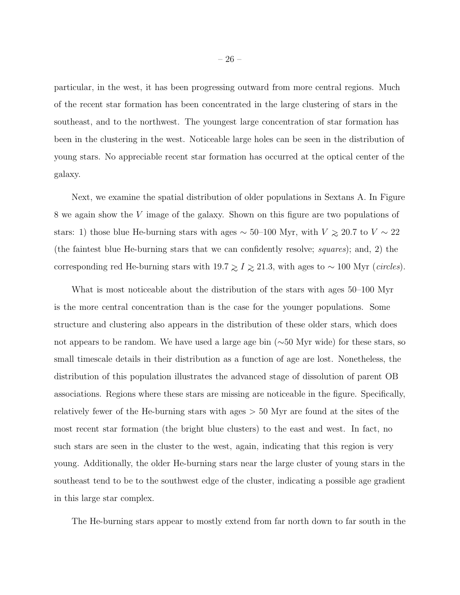particular, in the west, it has been progressing outward from more central regions. Much of the recent star formation has been concentrated in the large clustering of stars in the southeast, and to the northwest. The youngest large concentration of star formation has been in the clustering in the west. Noticeable large holes can be seen in the distribution of young stars. No appreciable recent star formation has occurred at the optical center of the galaxy.

Next, we examine the spatial distribution of older populations in Sextans A. In Figure 8 we again show the V image of the galaxy. Shown on this figure are two populations of stars: 1) those blue He-burning stars with ages  $\sim$  50–100 Myr, with  $V \gtrsim 20.7$  to  $V \sim 22$ (the faintest blue He-burning stars that we can confidently resolve; *squares*); and, 2) the corresponding red He-burning stars with  $19.7 \ge I \ge 21.3$ , with ages to ~ 100 Myr (*circles*).

What is most noticeable about the distribution of the stars with ages 50–100 Myr is the more central concentration than is the case for the younger populations. Some structure and clustering also appears in the distribution of these older stars, which does not appears to be random. We have used a large age bin (∼50 Myr wide) for these stars, so small timescale details in their distribution as a function of age are lost. Nonetheless, the distribution of this population illustrates the advanced stage of dissolution of parent OB associations. Regions where these stars are missing are noticeable in the figure. Specifically, relatively fewer of the He-burning stars with ages > 50 Myr are found at the sites of the most recent star formation (the bright blue clusters) to the east and west. In fact, no such stars are seen in the cluster to the west, again, indicating that this region is very young. Additionally, the older He-burning stars near the large cluster of young stars in the southeast tend to be to the southwest edge of the cluster, indicating a possible age gradient in this large star complex.

The He-burning stars appear to mostly extend from far north down to far south in the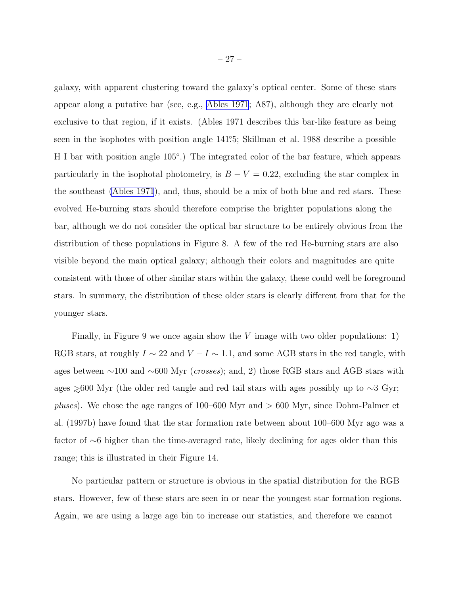galaxy, with apparent clustering toward the galaxy's optical center. Some of these stars appear along a putative bar (see, e.g., [Ables 1971](#page-40-0); A87), although they are clearly not exclusive to that region, if it exists. (Ables 1971 describes this bar-like feature as being seen in the isophotes with position angle 141°5; Skillman et al. 1988 describe a possible H I bar with position angle 105°.) The integrated color of the bar feature, which appears particularly in the isophotal photometry, is  $B - V = 0.22$ , excluding the star complex in the southeast [\(Ables 1971](#page-40-0)), and, thus, should be a mix of both blue and red stars. These evolved He-burning stars should therefore comprise the brighter populations along the bar, although we do not consider the optical bar structure to be entirely obvious from the distribution of these populations in Figure 8. A few of the red He-burning stars are also visible beyond the main optical galaxy; although their colors and magnitudes are quite consistent with those of other similar stars within the galaxy, these could well be foreground stars. In summary, the distribution of these older stars is clearly different from that for the younger stars.

Finally, in Figure 9 we once again show the  $V$  image with two older populations: 1) RGB stars, at roughly  $I \sim 22$  and  $V - I \sim 1.1$ , and some AGB stars in the red tangle, with ages between ∼100 and ∼600 Myr (*crosses*); and, 2) those RGB stars and AGB stars with ages  $\gtrsim$ 600 Myr (the older red tangle and red tail stars with ages possibly up to ∼3 Gyr; *pluses*). We chose the age ranges of 100–600 Myr and > 600 Myr, since Dohm-Palmer et al. (1997b) have found that the star formation rate between about 100–600 Myr ago was a factor of ∼6 higher than the time-averaged rate, likely declining for ages older than this range; this is illustrated in their Figure 14.

No particular pattern or structure is obvious in the spatial distribution for the RGB stars. However, few of these stars are seen in or near the youngest star formation regions. Again, we are using a large age bin to increase our statistics, and therefore we cannot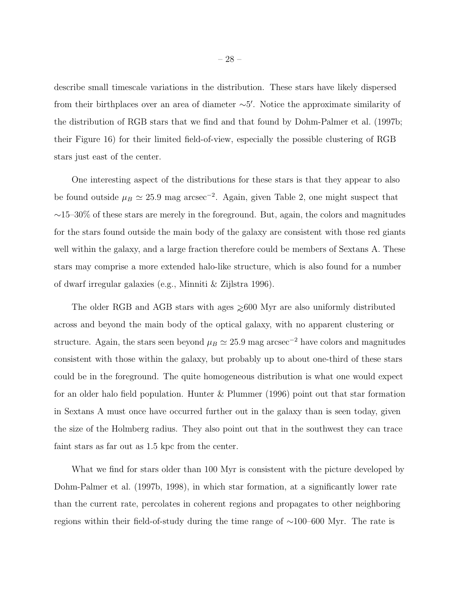describe small timescale variations in the distribution. These stars have likely dispersed from their birthplaces over an area of diameter ∼5 ′ . Notice the approximate similarity of the distribution of RGB stars that we find and that found by Dohm-Palmer et al. (1997b; their Figure 16) for their limited field-of-view, especially the possible clustering of RGB stars just east of the center.

One interesting aspect of the distributions for these stars is that they appear to also be found outside  $\mu_B \simeq 25.9$  mag arcsec<sup>-2</sup>. Again, given Table 2, one might suspect that  $~\sim$ 15–30% of these stars are merely in the foreground. But, again, the colors and magnitudes for the stars found outside the main body of the galaxy are consistent with those red giants well within the galaxy, and a large fraction therefore could be members of Sextans A. These stars may comprise a more extended halo-like structure, which is also found for a number of dwarf irregular galaxies (e.g., Minniti & Zijlstra 1996).

The older RGB and AGB stars with ages ≈600 Myr are also uniformly distributed across and beyond the main body of the optical galaxy, with no apparent clustering or structure. Again, the stars seen beyond  $\mu_B \simeq 25.9$  mag arcsec<sup>-2</sup> have colors and magnitudes consistent with those within the galaxy, but probably up to about one-third of these stars could be in the foreground. The quite homogeneous distribution is what one would expect for an older halo field population. Hunter & Plummer (1996) point out that star formation in Sextans A must once have occurred further out in the galaxy than is seen today, given the size of the Holmberg radius. They also point out that in the southwest they can trace faint stars as far out as 1.5 kpc from the center.

What we find for stars older than 100 Myr is consistent with the picture developed by Dohm-Palmer et al. (1997b, 1998), in which star formation, at a significantly lower rate than the current rate, percolates in coherent regions and propagates to other neighboring regions within their field-of-study during the time range of ∼100–600 Myr. The rate is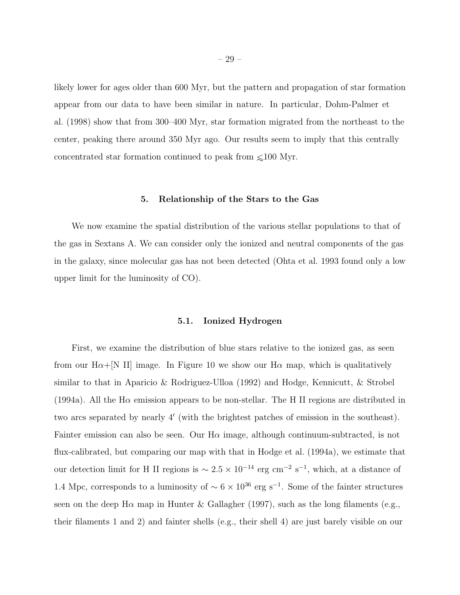likely lower for ages older than 600 Myr, but the pattern and propagation of star formation appear from our data to have been similar in nature. In particular, Dohm-Palmer et al. (1998) show that from 300–400 Myr, star formation migrated from the northeast to the center, peaking there around 350 Myr ago. Our results seem to imply that this centrally concentrated star formation continued to peak from ∼<100 Myr.

#### 5. Relationship of the Stars to the Gas

We now examine the spatial distribution of the various stellar populations to that of the gas in Sextans A. We can consider only the ionized and neutral components of the gas in the galaxy, since molecular gas has not been detected (Ohta et al. 1993 found only a low upper limit for the luminosity of CO).

#### 5.1. Ionized Hydrogen

First, we examine the distribution of blue stars relative to the ionized gas, as seen from our H $\alpha$ +[N II] image. In Figure 10 we show our H $\alpha$  map, which is qualitatively similar to that in Aparicio & Rodriguez-Ulloa (1992) and Hodge, Kennicutt, & Strobel (1994a). All the H $\alpha$  emission appears to be non-stellar. The H II regions are distributed in two arcs separated by nearly 4′ (with the brightest patches of emission in the southeast). Fainter emission can also be seen. Our H $\alpha$  image, although continuum-subtracted, is not flux-calibrated, but comparing our map with that in Hodge et al. (1994a), we estimate that our detection limit for H II regions is  $\sim 2.5 \times 10^{-14}$  erg cm<sup>-2</sup> s<sup>-1</sup>, which, at a distance of 1.4 Mpc, corresponds to a luminosity of  $\sim 6 \times 10^{36}$  erg s<sup>-1</sup>. Some of the fainter structures seen on the deep H $\alpha$  map in Hunter & Gallagher (1997), such as the long filaments (e.g., their filaments 1 and 2) and fainter shells (e.g., their shell 4) are just barely visible on our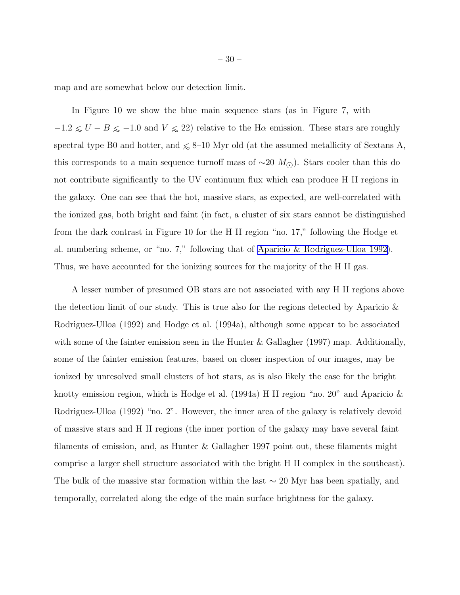map and are somewhat below our detection limit.

In Figure 10 we show the blue main sequence stars (as in Figure 7, with  $-1.2 \le U - B \le -1.0$  and  $V \le 22$ ) relative to the H $\alpha$  emission. These stars are roughly spectral type B0 and hotter, and  $\leq 8$ –10 Myr old (at the assumed metallicity of Sextans A, this corresponds to a main sequence turnoff mass of  $\sim$ 20 M<sub>⊙</sub>). Stars cooler than this do not contribute significantly to the UV continuum flux which can produce H II regions in the galaxy. One can see that the hot, massive stars, as expected, are well-correlated with the ionized gas, both bright and faint (in fact, a cluster of six stars cannot be distinguished from the dark contrast in Figure 10 for the H II region "no. 17," following the Hodge et al. numbering scheme, or "no. 7," following that of Aparicio [& Rodriguez-Ulloa 1992\)](#page-40-0). Thus, we have accounted for the ionizing sources for the majority of the H II gas.

A lesser number of presumed OB stars are not associated with any H II regions above the detection limit of our study. This is true also for the regions detected by Aparicio & Rodriguez-Ulloa (1992) and Hodge et al. (1994a), although some appear to be associated with some of the fainter emission seen in the Hunter & Gallagher (1997) map. Additionally, some of the fainter emission features, based on closer inspection of our images, may be ionized by unresolved small clusters of hot stars, as is also likely the case for the bright knotty emission region, which is Hodge et al. (1994a) H II region "no. 20" and Aparicio  $\&$ Rodriguez-Ulloa (1992) "no. 2". However, the inner area of the galaxy is relatively devoid of massive stars and H II regions (the inner portion of the galaxy may have several faint filaments of emission, and, as Hunter & Gallagher 1997 point out, these filaments might comprise a larger shell structure associated with the bright H II complex in the southeast). The bulk of the massive star formation within the last  $\sim 20$  Myr has been spatially, and temporally, correlated along the edge of the main surface brightness for the galaxy.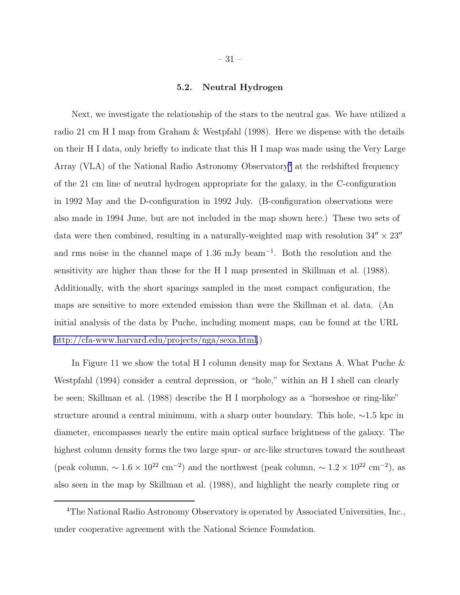## 5.2. Neutral Hydrogen

Next, we investigate the relationship of the stars to the neutral gas. We have utilized a radio 21 cm H I map from Graham & Westpfahl (1998). Here we dispense with the details on their H I data, only briefly to indicate that this H I map was made using the Very Large Array (VLA) of the National Radio Astronomy Observatory<sup>4</sup> at the redshifted frequency of the 21 cm line of neutral hydrogen appropriate for the galaxy, in the C-configuration in 1992 May and the D-configuration in 1992 July. (B-configuration observations were also made in 1994 June, but are not included in the map shown here.) These two sets of data were then combined, resulting in a naturally-weighted map with resolution  $34'' \times 23''$ and rms noise in the channel maps of 1.36 mJy beam<sup>−</sup><sup>1</sup> . Both the resolution and the sensitivity are higher than those for the H I map presented in Skillman et al. (1988). Additionally, with the short spacings sampled in the most compact configuration, the maps are sensitive to more extended emission than were the Skillman et al. data. (An initial analysis of the data by Puche, including moment maps, can be found at the URL [http://cfa-www.harvard.edu/projects/nga/sexa.html.](http://cfa-www.harvard.edu/projects/nga/sexa.html))

In Figure 11 we show the total H I column density map for Sextans A. What Puche  $\&$ Westpfahl (1994) consider a central depression, or "hole," within an H I shell can clearly be seen; Skillman et al. (1988) describe the H I morphology as a "horseshoe or ring-like" structure around a central minimum, with a sharp outer boundary. This hole, ∼1.5 kpc in diameter, encompasses nearly the entire main optical surface brightness of the galaxy. The highest column density forms the two large spur- or arc-like structures toward the southeast (peak column,  $\sim 1.6 \times 10^{22}$  cm<sup>-2</sup>) and the northwest (peak column,  $\sim 1.2 \times 10^{22}$  cm<sup>-2</sup>), as also seen in the map by Skillman et al. (1988), and highlight the nearly complete ring or

<sup>4</sup>The National Radio Astronomy Observatory is operated by Associated Universities, Inc., under cooperative agreement with the National Science Foundation.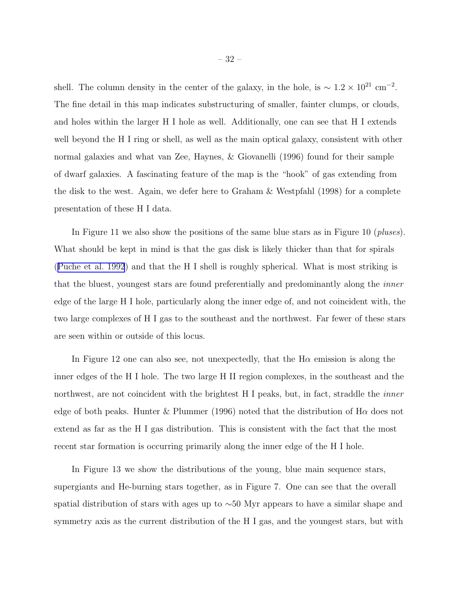shell. The column density in the center of the galaxy, in the hole, is  $\sim 1.2 \times 10^{21}$  cm<sup>-2</sup>. The fine detail in this map indicates substructuring of smaller, fainter clumps, or clouds, and holes within the larger H I hole as well. Additionally, one can see that H I extends well beyond the H I ring or shell, as well as the main optical galaxy, consistent with other normal galaxies and what van Zee, Haynes, & Giovanelli (1996) found for their sample of dwarf galaxies. A fascinating feature of the map is the "hook" of gas extending from the disk to the west. Again, we defer here to Graham & Westpfahl (1998) for a complete presentation of these H I data.

In Figure 11 we also show the positions of the same blue stars as in Figure 10 (*pluses*). What should be kept in mind is that the gas disk is likely thicker than that for spirals ([Puche et al. 1992](#page-43-0)) and that the H I shell is roughly spherical. What is most striking is that the bluest, youngest stars are found preferentially and predominantly along the *inner* edge of the large H I hole, particularly along the inner edge of, and not coincident with, the two large complexes of H I gas to the southeast and the northwest. Far fewer of these stars are seen within or outside of this locus.

In Figure 12 one can also see, not unexpectedly, that the  $H\alpha$  emission is along the inner edges of the H I hole. The two large H II region complexes, in the southeast and the northwest, are not coincident with the brightest H I peaks, but, in fact, straddle the *inner* edge of both peaks. Hunter & Plummer (1996) noted that the distribution of  $H\alpha$  does not extend as far as the H I gas distribution. This is consistent with the fact that the most recent star formation is occurring primarily along the inner edge of the H I hole.

In Figure 13 we show the distributions of the young, blue main sequence stars, supergiants and He-burning stars together, as in Figure 7. One can see that the overall spatial distribution of stars with ages up to ∼50 Myr appears to have a similar shape and symmetry axis as the current distribution of the H I gas, and the youngest stars, but with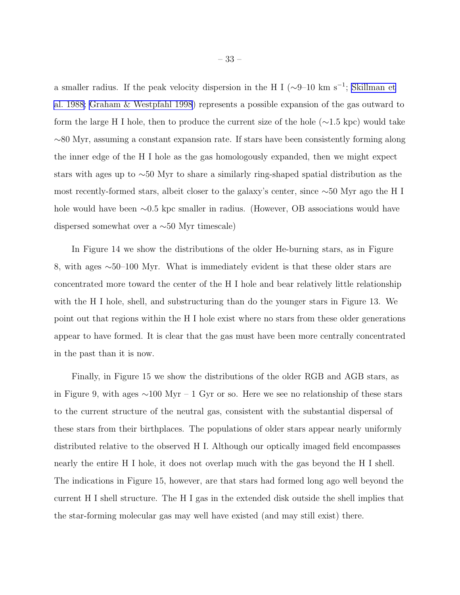a smaller radius. If the peak velocity dispersion in the H I ( $\sim$ 9–10 km s<sup>-1</sup>; [Skillman et](#page-44-0) [al. 1988;](#page-44-0) [Graham & Westpfahl 1998](#page-41-0)) represents a possible expansion of the gas outward to form the large H I hole, then to produce the current size of the hole (∼1.5 kpc) would take ∼80 Myr, assuming a constant expansion rate. If stars have been consistently forming along the inner edge of the H I hole as the gas homologously expanded, then we might expect stars with ages up to ∼50 Myr to share a similarly ring-shaped spatial distribution as the most recently-formed stars, albeit closer to the galaxy's center, since ∼50 Myr ago the H I hole would have been ∼0.5 kpc smaller in radius. (However, OB associations would have dispersed somewhat over a ∼50 Myr timescale)

In Figure 14 we show the distributions of the older He-burning stars, as in Figure 8, with ages ∼50–100 Myr. What is immediately evident is that these older stars are concentrated more toward the center of the H I hole and bear relatively little relationship with the H I hole, shell, and substructuring than do the younger stars in Figure 13. We point out that regions within the H I hole exist where no stars from these older generations appear to have formed. It is clear that the gas must have been more centrally concentrated in the past than it is now.

Finally, in Figure 15 we show the distributions of the older RGB and AGB stars, as in Figure 9, with ages ∼100 Myr – 1 Gyr or so. Here we see no relationship of these stars to the current structure of the neutral gas, consistent with the substantial dispersal of these stars from their birthplaces. The populations of older stars appear nearly uniformly distributed relative to the observed H I. Although our optically imaged field encompasses nearly the entire H I hole, it does not overlap much with the gas beyond the H I shell. The indications in Figure 15, however, are that stars had formed long ago well beyond the current H I shell structure. The H I gas in the extended disk outside the shell implies that the star-forming molecular gas may well have existed (and may still exist) there.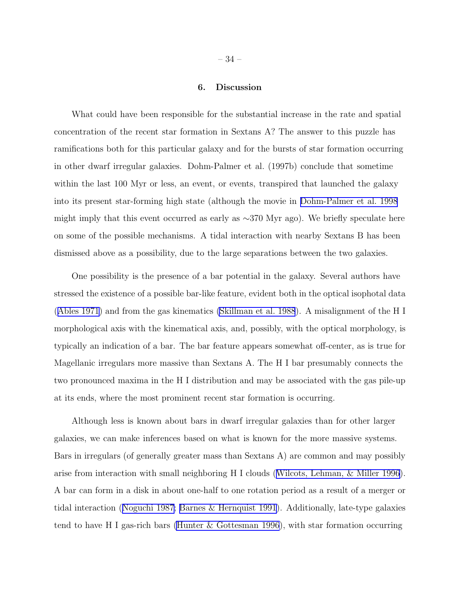# 6. Discussion

What could have been responsible for the substantial increase in the rate and spatial concentration of the recent star formation in Sextans A? The answer to this puzzle has ramifications both for this particular galaxy and for the bursts of star formation occurring in other dwarf irregular galaxies. Dohm-Palmer et al. (1997b) conclude that sometime within the last 100 Myr or less, an event, or events, transpired that launched the galaxy into its present star-forming high state (although the movie in [Dohm-Palmer et al. 1998](#page-41-0) might imply that this event occurred as early as ∼370 Myr ago). We briefly speculate here on some of the possible mechanisms. A tidal interaction with nearby Sextans B has been dismissed above as a possibility, due to the large separations between the two galaxies.

One possibility is the presence of a bar potential in the galaxy. Several authors have stressed the existence of a possible bar-like feature, evident both in the optical isophotal data ([Ables 1971](#page-40-0)) and from the gas kinematics [\(Skillman et al. 1988](#page-44-0)). A misalignment of the H I morphological axis with the kinematical axis, and, possibly, with the optical morphology, is typically an indication of a bar. The bar feature appears somewhat off-center, as is true for Magellanic irregulars more massive than Sextans A. The H I bar presumably connects the two pronounced maxima in the H I distribution and may be associated with the gas pile-up at its ends, where the most prominent recent star formation is occurring.

Although less is known about bars in dwarf irregular galaxies than for other larger galaxies, we can make inferences based on what is known for the more massive systems. Bars in irregulars (of generally greater mass than Sextans A) are common and may possibly arise from interaction with small neighboring H I clouds ([Wilcots, Lehman, & Miller 1996](#page-44-0)). A bar can form in a disk in about one-half to one rotation period as a result of a merger or tidal interaction ([Noguchi 1987;](#page-43-0) [Barnes & Hernquist 1991](#page-40-0)). Additionally, late-type galaxies tend to have H I gas-rich bars [\(Hunter & Gottesman 1996](#page-42-0)), with star formation occurring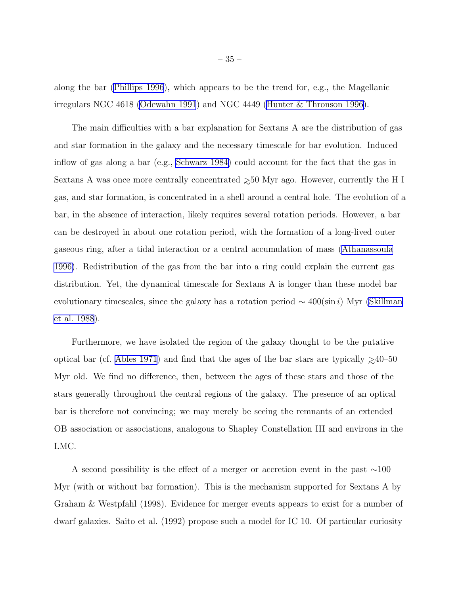along the bar [\(Phillips 1996](#page-43-0)), which appears to be the trend for, e.g., the Magellanic irregulars NGC 4618 [\(Odewahn 1991](#page-43-0)) and NGC 4449 ([Hunter & Thronson 1996\)](#page-42-0).

The main difficulties with a bar explanation for Sextans A are the distribution of gas and star formation in the galaxy and the necessary timescale for bar evolution. Induced inflow of gas along a bar (e.g., [Schwarz 1984\)](#page-44-0) could account for the fact that the gas in Sextans A was once more centrally concentrated  $\geq 50$  Myr ago. However, currently the H I gas, and star formation, is concentrated in a shell around a central hole. The evolution of a bar, in the absence of interaction, likely requires several rotation periods. However, a bar can be destroyed in about one rotation period, with the formation of a long-lived outer gaseous ring, after a tidal interaction or a central accumulation of mass [\(Athanassoula](#page-40-0) [1996\)](#page-40-0). Redistribution of the gas from the bar into a ring could explain the current gas distribution. Yet, the dynamical timescale for Sextans A is longer than these model bar evolutionary timescales, since the galaxy has a rotation period  $\sim 400(\sin i)$  Myr [\(Skillman](#page-44-0) [et al. 1988](#page-44-0)).

Furthermore, we have isolated the region of the galaxy thought to be the putative optical bar (cf. [Ables 1971](#page-40-0)) and find that the ages of the bar stars are typically  $\geq 40$ –50 Myr old. We find no difference, then, between the ages of these stars and those of the stars generally throughout the central regions of the galaxy. The presence of an optical bar is therefore not convincing; we may merely be seeing the remnants of an extended OB association or associations, analogous to Shapley Constellation III and environs in the LMC.

A second possibility is the effect of a merger or accretion event in the past ∼100 Myr (with or without bar formation). This is the mechanism supported for Sextans A by Graham & Westpfahl (1998). Evidence for merger events appears to exist for a number of dwarf galaxies. Saito et al. (1992) propose such a model for IC 10. Of particular curiosity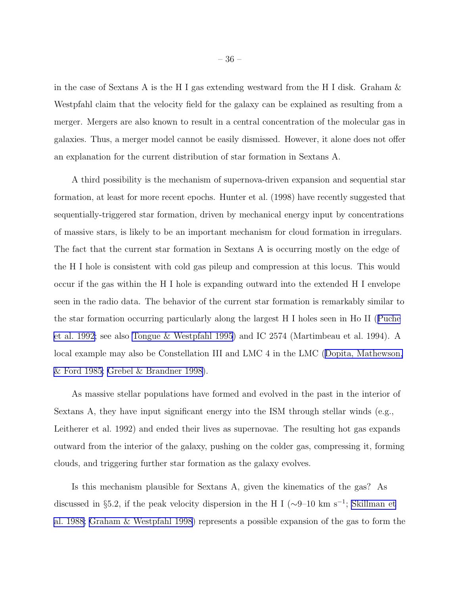in the case of Sextans A is the H I gas extending westward from the H I disk. Graham  $\&$ Westpfahl claim that the velocity field for the galaxy can be explained as resulting from a merger. Mergers are also known to result in a central concentration of the molecular gas in galaxies. Thus, a merger model cannot be easily dismissed. However, it alone does not offer an explanation for the current distribution of star formation in Sextans A.

A third possibility is the mechanism of supernova-driven expansion and sequential star formation, at least for more recent epochs. Hunter et al. (1998) have recently suggested that sequentially-triggered star formation, driven by mechanical energy input by concentrations of massive stars, is likely to be an important mechanism for cloud formation in irregulars. The fact that the current star formation in Sextans A is occurring mostly on the edge of the H I hole is consistent with cold gas pileup and compression at this locus. This would occur if the gas within the H I hole is expanding outward into the extended H I envelope seen in the radio data. The behavior of the current star formation is remarkably similar to the star formation occurring particularly along the largest H I holes seen in Ho II ([Puche](#page-43-0) [et al. 1992](#page-43-0); see also [Tongue & Westpfahl 1995](#page-44-0)) and IC 2574 (Martimbeau et al. 1994). A local example may also be Constellation III and LMC 4 in the LMC ([Dopita, Mathewson,](#page-41-0) [& Ford 1985; Grebel & Brandner 1998\)](#page-41-0).

As massive stellar populations have formed and evolved in the past in the interior of Sextans A, they have input significant energy into the ISM through stellar winds (e.g., Leitherer et al. 1992) and ended their lives as supernovae. The resulting hot gas expands outward from the interior of the galaxy, pushing on the colder gas, compressing it, forming clouds, and triggering further star formation as the galaxy evolves.

Is this mechanism plausible for Sextans A, given the kinematics of the gas? As discussed in §5.2, if the peak velocity dispersion in the H I ( $\sim$ 9–10 km s<sup>-1</sup>; [Skillman et](#page-44-0) [al. 1988;](#page-44-0) [Graham & Westpfahl 1998](#page-41-0)) represents a possible expansion of the gas to form the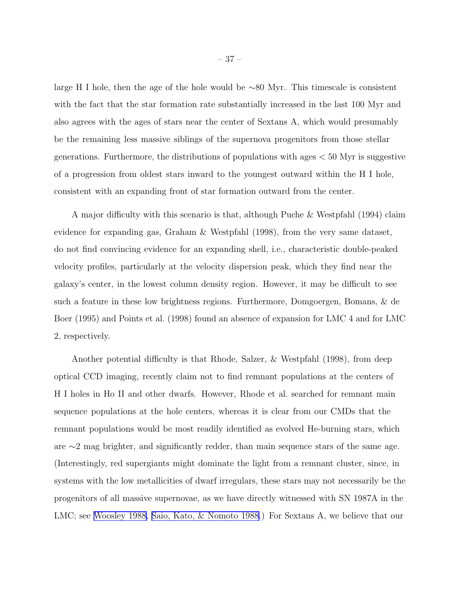large H I hole, then the age of the hole would be ∼80 Myr. This timescale is consistent with the fact that the star formation rate substantially increased in the last 100 Myr and also agrees with the ages of stars near the center of Sextans A, which would presumably be the remaining less massive siblings of the supernova progenitors from those stellar generations. Furthermore, the distributions of populations with ages  $< 50$  Myr is suggestive of a progression from oldest stars inward to the youngest outward within the H I hole, consistent with an expanding front of star formation outward from the center.

A major difficulty with this scenario is that, although Puche & Westpfahl (1994) claim evidence for expanding gas, Graham & Westpfahl (1998), from the very same dataset, do not find convincing evidence for an expanding shell, i.e., characteristic double-peaked velocity profiles, particularly at the velocity dispersion peak, which they find near the galaxy's center, in the lowest column density region. However, it may be difficult to see such a feature in these low brightness regions. Furthermore, Domgoergen, Bomans, & de Boer (1995) and Points et al. (1998) found an absence of expansion for LMC 4 and for LMC 2, respectively.

Another potential difficulty is that Rhode, Salzer, & Westpfahl (1998), from deep optical CCD imaging, recently claim not to find remnant populations at the centers of H I holes in Ho II and other dwarfs. However, Rhode et al. searched for remnant main sequence populations at the hole centers, whereas it is clear from our CMDs that the remnant populations would be most readily identified as evolved He-burning stars, which are ∼2 mag brighter, and significantly redder, than main sequence stars of the same age. (Interestingly, red supergiants might dominate the light from a remnant cluster, since, in systems with the low metallicities of dwarf irregulars, these stars may not necessarily be the progenitors of all massive supernovae, as we have directly witnessed with SN 1987A in the LMC; see [Woosley 1988,](#page-45-0) [Saio, Kato, & Nomoto 1988.](#page-43-0)) For Sextans A, we believe that our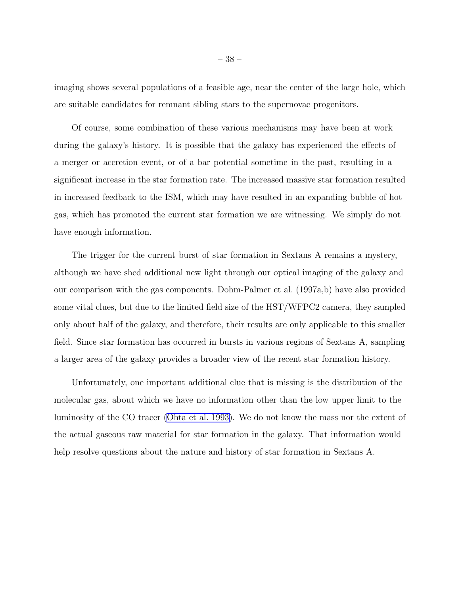imaging shows several populations of a feasible age, near the center of the large hole, which are suitable candidates for remnant sibling stars to the supernovae progenitors.

Of course, some combination of these various mechanisms may have been at work during the galaxy's history. It is possible that the galaxy has experienced the effects of a merger or accretion event, or of a bar potential sometime in the past, resulting in a significant increase in the star formation rate. The increased massive star formation resulted in increased feedback to the ISM, which may have resulted in an expanding bubble of hot gas, which has promoted the current star formation we are witnessing. We simply do not have enough information.

The trigger for the current burst of star formation in Sextans A remains a mystery, although we have shed additional new light through our optical imaging of the galaxy and our comparison with the gas components. Dohm-Palmer et al. (1997a,b) have also provided some vital clues, but due to the limited field size of the HST/WFPC2 camera, they sampled only about half of the galaxy, and therefore, their results are only applicable to this smaller field. Since star formation has occurred in bursts in various regions of Sextans A, sampling a larger area of the galaxy provides a broader view of the recent star formation history.

Unfortunately, one important additional clue that is missing is the distribution of the molecular gas, about which we have no information other than the low upper limit to the luminosity of the CO tracer [\(Ohta et al. 1993](#page-43-0)). We do not know the mass nor the extent of the actual gaseous raw material for star formation in the galaxy. That information would help resolve questions about the nature and history of star formation in Sextans A.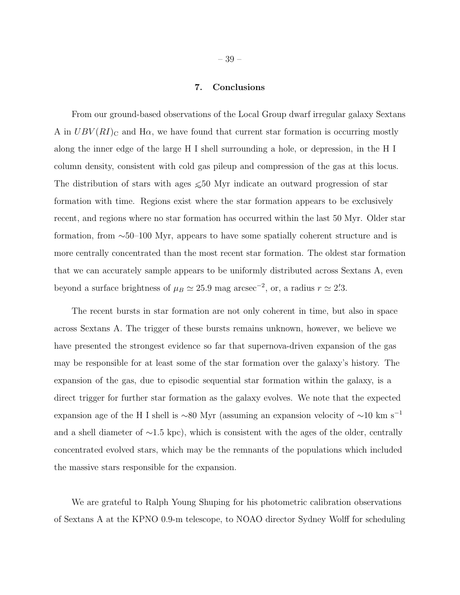# 7. Conclusions

From our ground-based observations of the Local Group dwarf irregular galaxy Sextans A in  $UBV(RI)_{\text{C}}$  and H $\alpha$ , we have found that current star formation is occurring mostly along the inner edge of the large H I shell surrounding a hole, or depression, in the H I column density, consistent with cold gas pileup and compression of the gas at this locus. The distribution of stars with ages  $\leq 50$  Myr indicate an outward progression of star formation with time. Regions exist where the star formation appears to be exclusively recent, and regions where no star formation has occurred within the last 50 Myr. Older star formation, from ∼50–100 Myr, appears to have some spatially coherent structure and is more centrally concentrated than the most recent star formation. The oldest star formation that we can accurately sample appears to be uniformly distributed across Sextans A, even beyond a surface brightness of  $\mu_B \simeq 25.9$  mag arcsec<sup>-2</sup>, or, a radius  $r \simeq 2\overset{\prime}{.}3$ .

The recent bursts in star formation are not only coherent in time, but also in space across Sextans A. The trigger of these bursts remains unknown, however, we believe we have presented the strongest evidence so far that supernova-driven expansion of the gas may be responsible for at least some of the star formation over the galaxy's history. The expansion of the gas, due to episodic sequential star formation within the galaxy, is a direct trigger for further star formation as the galaxy evolves. We note that the expected expansion age of the H I shell is ∼80 Myr (assuming an expansion velocity of  $\sim$ 10 km s<sup>−1</sup> and a shell diameter of ∼1.5 kpc), which is consistent with the ages of the older, centrally concentrated evolved stars, which may be the remnants of the populations which included the massive stars responsible for the expansion.

We are grateful to Ralph Young Shuping for his photometric calibration observations of Sextans A at the KPNO 0.9-m telescope, to NOAO director Sydney Wolff for scheduling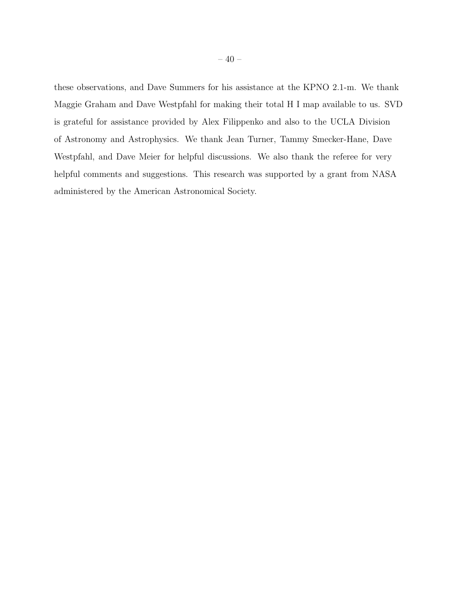these observations, and Dave Summers for his assistance at the KPNO 2.1-m. We thank Maggie Graham and Dave Westpfahl for making their total H I map available to us. SVD is grateful for assistance provided by Alex Filippenko and also to the UCLA Division of Astronomy and Astrophysics. We thank Jean Turner, Tammy Smecker-Hane, Dave Westpfahl, and Dave Meier for helpful discussions. We also thank the referee for very helpful comments and suggestions. This research was supported by a grant from NASA administered by the American Astronomical Society.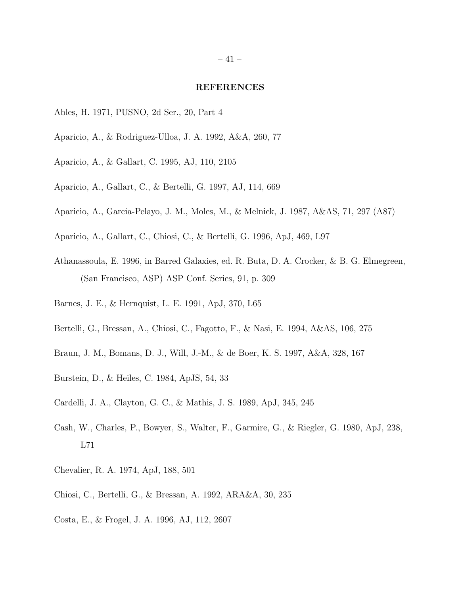#### REFERENCES

- <span id="page-40-0"></span>Ables, H. 1971, PUSNO, 2d Ser., 20, Part 4
- Aparicio, A., & Rodriguez-Ulloa, J. A. 1992, A&A, 260, 77
- Aparicio, A., & Gallart, C. 1995, AJ, 110, 2105
- Aparicio, A., Gallart, C., & Bertelli, G. 1997, AJ, 114, 669
- Aparicio, A., Garcia-Pelayo, J. M., Moles, M., & Melnick, J. 1987, A&AS, 71, 297 (A87)
- Aparicio, A., Gallart, C., Chiosi, C., & Bertelli, G. 1996, ApJ, 469, L97
- Athanassoula, E. 1996, in Barred Galaxies, ed. R. Buta, D. A. Crocker, & B. G. Elmegreen, (San Francisco, ASP) ASP Conf. Series, 91, p. 309
- Barnes, J. E., & Hernquist, L. E. 1991, ApJ, 370, L65
- Bertelli, G., Bressan, A., Chiosi, C., Fagotto, F., & Nasi, E. 1994, A&AS, 106, 275
- Braun, J. M., Bomans, D. J., Will, J.-M., & de Boer, K. S. 1997, A&A, 328, 167
- Burstein, D., & Heiles, C. 1984, ApJS, 54, 33
- Cardelli, J. A., Clayton, G. C., & Mathis, J. S. 1989, ApJ, 345, 245
- Cash, W., Charles, P., Bowyer, S., Walter, F., Garmire, G., & Riegler, G. 1980, ApJ, 238, L71
- Chevalier, R. A. 1974, ApJ, 188, 501
- Chiosi, C., Bertelli, G., & Bressan, A. 1992, ARA&A, 30, 235
- Costa, E., & Frogel, J. A. 1996, AJ, 112, 2607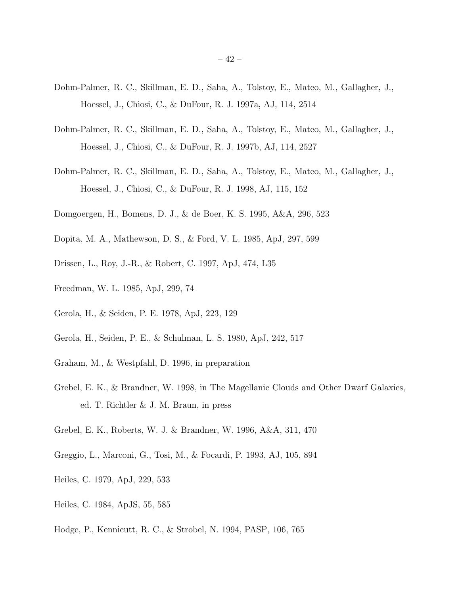- <span id="page-41-0"></span>Dohm-Palmer, R. C., Skillman, E. D., Saha, A., Tolstoy, E., Mateo, M., Gallagher, J., Hoessel, J., Chiosi, C., & DuFour, R. J. 1997a, AJ, 114, 2514
- Dohm-Palmer, R. C., Skillman, E. D., Saha, A., Tolstoy, E., Mateo, M., Gallagher, J., Hoessel, J., Chiosi, C., & DuFour, R. J. 1997b, AJ, 114, 2527
- Dohm-Palmer, R. C., Skillman, E. D., Saha, A., Tolstoy, E., Mateo, M., Gallagher, J., Hoessel, J., Chiosi, C., & DuFour, R. J. 1998, AJ, 115, 152
- Domgoergen, H., Bomens, D. J., & de Boer, K. S. 1995, A&A, 296, 523
- Dopita, M. A., Mathewson, D. S., & Ford, V. L. 1985, ApJ, 297, 599
- Drissen, L., Roy, J.-R., & Robert, C. 1997, ApJ, 474, L35
- Freedman, W. L. 1985, ApJ, 299, 74
- Gerola, H., & Seiden, P. E. 1978, ApJ, 223, 129
- Gerola, H., Seiden, P. E., & Schulman, L. S. 1980, ApJ, 242, 517
- Graham, M., & Westpfahl, D. 1996, in preparation
- Grebel, E. K., & Brandner, W. 1998, in The Magellanic Clouds and Other Dwarf Galaxies, ed. T. Richtler & J. M. Braun, in press
- Grebel, E. K., Roberts, W. J. & Brandner, W. 1996, A&A, 311, 470
- Greggio, L., Marconi, G., Tosi, M., & Focardi, P. 1993, AJ, 105, 894
- Heiles, C. 1979, ApJ, 229, 533
- Heiles, C. 1984, ApJS, 55, 585
- Hodge, P., Kennicutt, R. C., & Strobel, N. 1994, PASP, 106, 765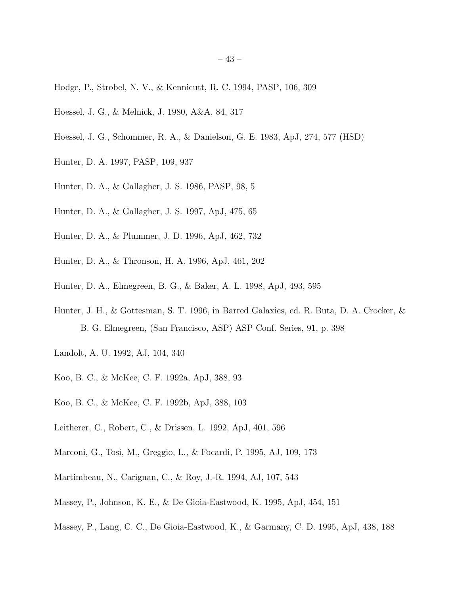- <span id="page-42-0"></span>Hodge, P., Strobel, N. V., & Kennicutt, R. C. 1994, PASP, 106, 309
- Hoessel, J. G., & Melnick, J. 1980, A&A, 84, 317
- Hoessel, J. G., Schommer, R. A., & Danielson, G. E. 1983, ApJ, 274, 577 (HSD)
- Hunter, D. A. 1997, PASP, 109, 937
- Hunter, D. A., & Gallagher, J. S. 1986, PASP, 98, 5
- Hunter, D. A., & Gallagher, J. S. 1997, ApJ, 475, 65
- Hunter, D. A., & Plummer, J. D. 1996, ApJ, 462, 732
- Hunter, D. A., & Thronson, H. A. 1996, ApJ, 461, 202
- Hunter, D. A., Elmegreen, B. G., & Baker, A. L. 1998, ApJ, 493, 595
- Hunter, J. H., & Gottesman, S. T. 1996, in Barred Galaxies, ed. R. Buta, D. A. Crocker, & B. G. Elmegreen, (San Francisco, ASP) ASP Conf. Series, 91, p. 398
- Landolt, A. U. 1992, AJ, 104, 340
- Koo, B. C., & McKee, C. F. 1992a, ApJ, 388, 93
- Koo, B. C., & McKee, C. F. 1992b, ApJ, 388, 103
- Leitherer, C., Robert, C., & Drissen, L. 1992, ApJ, 401, 596
- Marconi, G., Tosi, M., Greggio, L., & Focardi, P. 1995, AJ, 109, 173
- Martimbeau, N., Carignan, C., & Roy, J.-R. 1994, AJ, 107, 543
- Massey, P., Johnson, K. E., & De Gioia-Eastwood, K. 1995, ApJ, 454, 151
- Massey, P., Lang, C. C., De Gioia-Eastwood, K., & Garmany, C. D. 1995, ApJ, 438, 188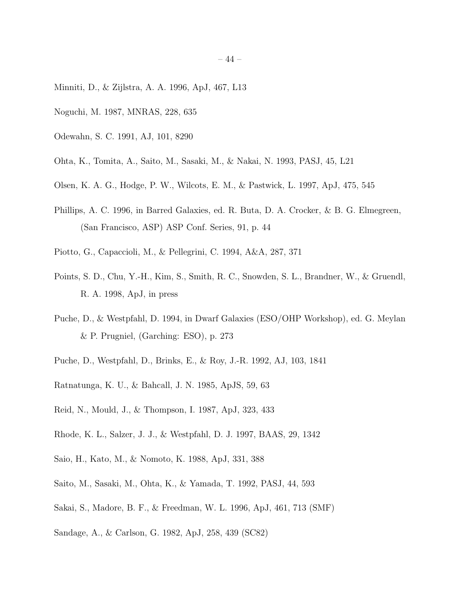- <span id="page-43-0"></span>Minniti, D., & Zijlstra, A. A. 1996, ApJ, 467, L13
- Noguchi, M. 1987, MNRAS, 228, 635
- Odewahn, S. C. 1991, AJ, 101, 8290
- Ohta, K., Tomita, A., Saito, M., Sasaki, M., & Nakai, N. 1993, PASJ, 45, L21
- Olsen, K. A. G., Hodge, P. W., Wilcots, E. M., & Pastwick, L. 1997, ApJ, 475, 545
- Phillips, A. C. 1996, in Barred Galaxies, ed. R. Buta, D. A. Crocker, & B. G. Elmegreen, (San Francisco, ASP) ASP Conf. Series, 91, p. 44
- Piotto, G., Capaccioli, M., & Pellegrini, C. 1994, A&A, 287, 371
- Points, S. D., Chu, Y.-H., Kim, S., Smith, R. C., Snowden, S. L., Brandner, W., & Gruendl, R. A. 1998, ApJ, in press
- Puche, D., & Westpfahl, D. 1994, in Dwarf Galaxies (ESO/OHP Workshop), ed. G. Meylan & P. Prugniel, (Garching: ESO), p. 273
- Puche, D., Westpfahl, D., Brinks, E., & Roy, J.-R. 1992, AJ, 103, 1841
- Ratnatunga, K. U., & Bahcall, J. N. 1985, ApJS, 59, 63
- Reid, N., Mould, J., & Thompson, I. 1987, ApJ, 323, 433
- Rhode, K. L., Salzer, J. J., & Westpfahl, D. J. 1997, BAAS, 29, 1342
- Saio, H., Kato, M., & Nomoto, K. 1988, ApJ, 331, 388
- Saito, M., Sasaki, M., Ohta, K., & Yamada, T. 1992, PASJ, 44, 593
- Sakai, S., Madore, B. F., & Freedman, W. L. 1996, ApJ, 461, 713 (SMF)
- Sandage, A., & Carlson, G. 1982, ApJ, 258, 439 (SC82)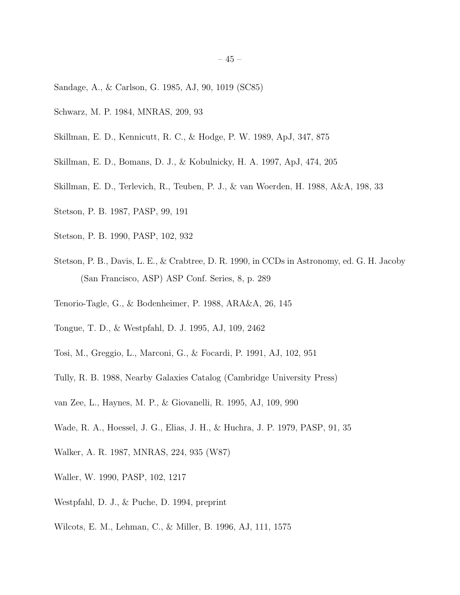- <span id="page-44-0"></span>Sandage, A., & Carlson, G. 1985, AJ, 90, 1019 (SC85)
- Schwarz, M. P. 1984, MNRAS, 209, 93
- Skillman, E. D., Kennicutt, R. C., & Hodge, P. W. 1989, ApJ, 347, 875
- Skillman, E. D., Bomans, D. J., & Kobulnicky, H. A. 1997, ApJ, 474, 205
- Skillman, E. D., Terlevich, R., Teuben, P. J., & van Woerden, H. 1988, A&A, 198, 33
- Stetson, P. B. 1987, PASP, 99, 191
- Stetson, P. B. 1990, PASP, 102, 932
- Stetson, P. B., Davis, L. E., & Crabtree, D. R. 1990, in CCDs in Astronomy, ed. G. H. Jacoby (San Francisco, ASP) ASP Conf. Series, 8, p. 289
- Tenorio-Tagle, G., & Bodenheimer, P. 1988, ARA&A, 26, 145
- Tongue, T. D., & Westpfahl, D. J. 1995, AJ, 109, 2462
- Tosi, M., Greggio, L., Marconi, G., & Focardi, P. 1991, AJ, 102, 951
- Tully, R. B. 1988, Nearby Galaxies Catalog (Cambridge University Press)
- van Zee, L., Haynes, M. P., & Giovanelli, R. 1995, AJ, 109, 990
- Wade, R. A., Hoessel, J. G., Elias, J. H., & Huchra, J. P. 1979, PASP, 91, 35
- Walker, A. R. 1987, MNRAS, 224, 935 (W87)
- Waller, W. 1990, PASP, 102, 1217
- Westpfahl, D. J., & Puche, D. 1994, preprint
- Wilcots, E. M., Lehman, C., & Miller, B. 1996, AJ, 111, 1575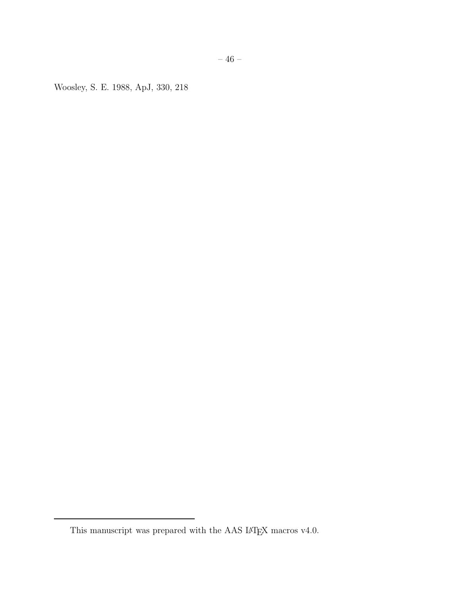<span id="page-45-0"></span>Woosley, S. E. 1988, ApJ, 330, 218

This manuscript was prepared with the AAS IATEX macros  $\rm v4.0.$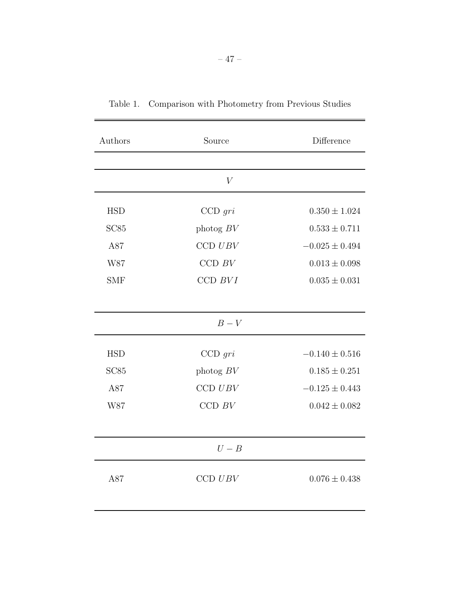| Authors          | Source                         | Difference         |  |  |
|------------------|--------------------------------|--------------------|--|--|
|                  |                                |                    |  |  |
| V                |                                |                    |  |  |
| <b>HSD</b>       | $CCD$ gri                      | $0.350 \pm 1.024$  |  |  |
| SC <sub>85</sub> | photog $BV$                    | $0.533 \pm 0.711$  |  |  |
| A87              | $CCD$ $UBV$                    | $-0.025 \pm 0.494$ |  |  |
| W87              | CCD $BV$                       | $0.013 \pm 0.098$  |  |  |
| <b>SMF</b>       | $CCD$ $BVI$                    | $0.035 \pm 0.031$  |  |  |
|                  |                                |                    |  |  |
| $B-V$            |                                |                    |  |  |
| <b>HSD</b>       | $CCD$ gri                      | $-0.140 \pm 0.516$ |  |  |
| SC <sub>85</sub> | photog $BV$                    | $0.185 \pm 0.251$  |  |  |
| A87              | $CCD$ $UBV$                    | $-0.125 \pm 0.443$ |  |  |
| W87              | CCD $\ensuremath{\mathit{BV}}$ | $0.042 \pm 0.082$  |  |  |
|                  |                                |                    |  |  |
| $U-B$            |                                |                    |  |  |
| A87              | CCD UBV                        | $0.076 \pm 0.438$  |  |  |
|                  |                                |                    |  |  |

Table 1. Comparison with Photometry from Previous Studies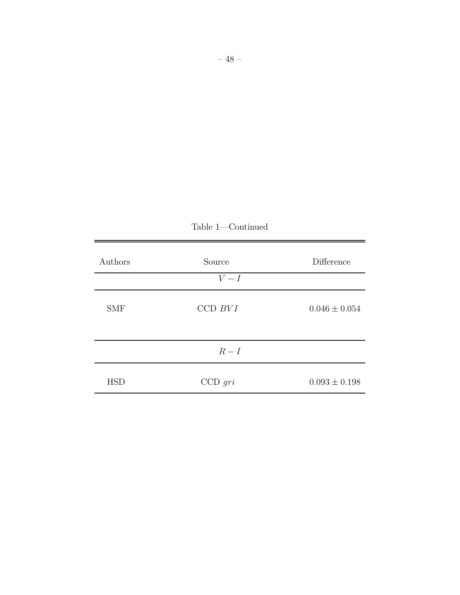| Authors    | Source    | Difference        |
|------------|-----------|-------------------|
|            | $V-I$     |                   |
| <b>SMF</b> | CCD BVI   | $0.046 \pm 0.054$ |
|            | $R-I$     |                   |
| <b>HSD</b> | $CCD$ gri | $0.093 \pm 0.198$ |

Table 1—Continued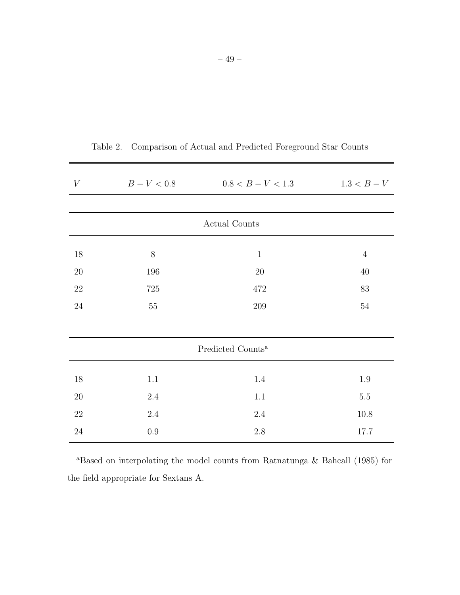| $\boldsymbol{V}$              | $B - V < 0.8$ | $0.8 < B - V < 1.3$ | $1.3 < B - V$  |  |  |
|-------------------------------|---------------|---------------------|----------------|--|--|
|                               |               |                     |                |  |  |
| Actual Counts                 |               |                     |                |  |  |
| 18                            | 8             | $\mathbf{1}$        | $\overline{4}$ |  |  |
| $20\,$                        | 196           | $20\,$              | $40\,$         |  |  |
| $22\,$                        | $725\,$       | 472                 | 83             |  |  |
| $24\,$                        | $55\,$        | $209\,$             | $54\,$         |  |  |
|                               |               |                     |                |  |  |
| Predicted Counts <sup>a</sup> |               |                     |                |  |  |
| $18\,$                        | $1.1\,$       | 1.4                 | $1.9\,$        |  |  |
| $20\,$                        | $2.4\,$       | 1.1                 | $5.5\,$        |  |  |
| $22\,$                        | $2.4\,$       | $2.4\,$             | 10.8           |  |  |
| $24\,$                        | $0.9\,$       | $2.8\,$             | 17.7           |  |  |

Table 2. Comparison of Actual and Predicted Foreground Star Counts

<sup>a</sup>Based on interpolating the model counts from Ratnatunga & Bahcall (1985) for the field appropriate for Sextans A.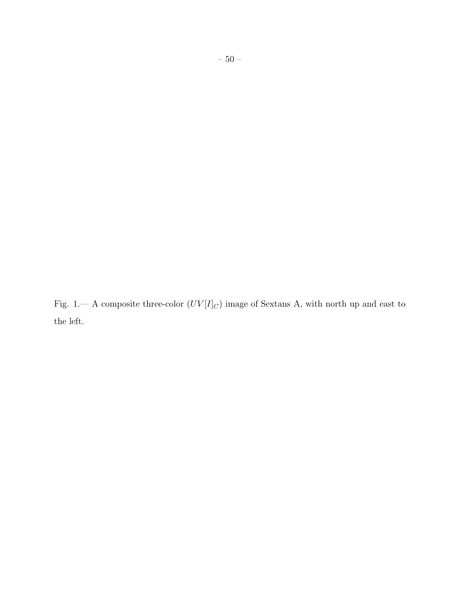Fig. 1.— A composite three-color  $(UV[I]_C)$  image of Sextans A, with north up and east to the left.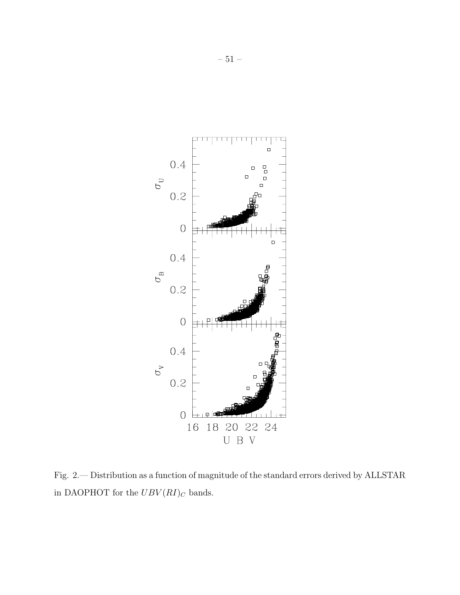

Fig. 2.— Distribution as a function of magnitude of the standard errors derived by ALLSTAR in DAOPHOT for the  $UBV(RI)_C$  bands.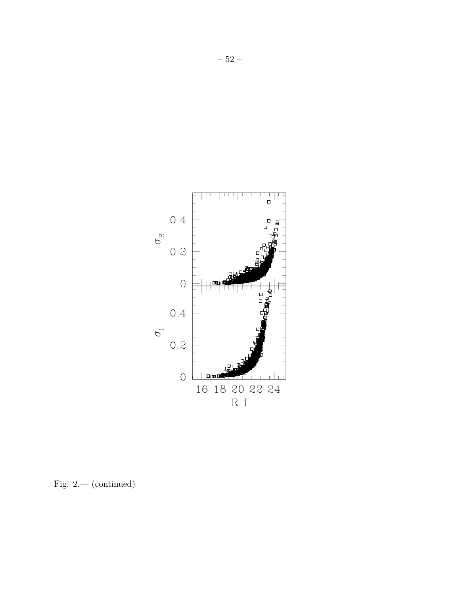

Fig. 2.— (continued)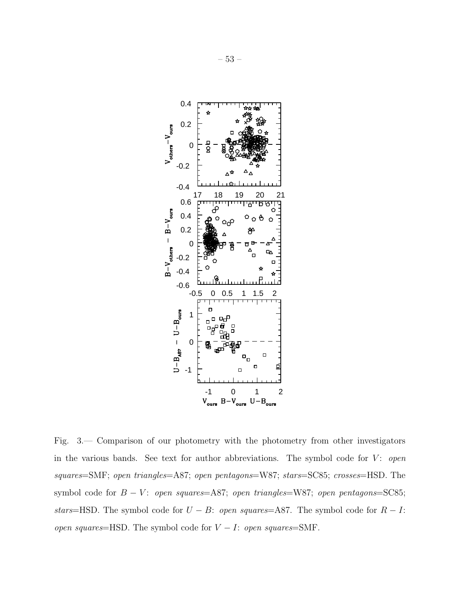

Fig. 3.— Comparison of our photometry with the photometry from other investigators in the various bands. See text for author abbreviations. The symbol code for V: *open squares*=SMF; *open triangles*=A87; *open pentagons*=W87; *stars*=SC85; *crosses*=HSD. The symbol code for *B* − *V*: *open squares*=A87; *open triangles*=W87; *open pentagons*=SC85; *stars*=HSD. The symbol code for  $U - B$ : *open squares*=A87. The symbol code for  $R - I$ : *open squares*=HSD. The symbol code for V − I: *open squares*=SMF.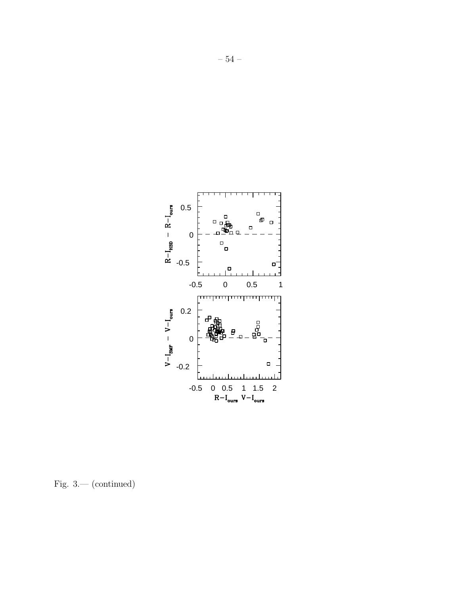

Fig. 3.— (continued)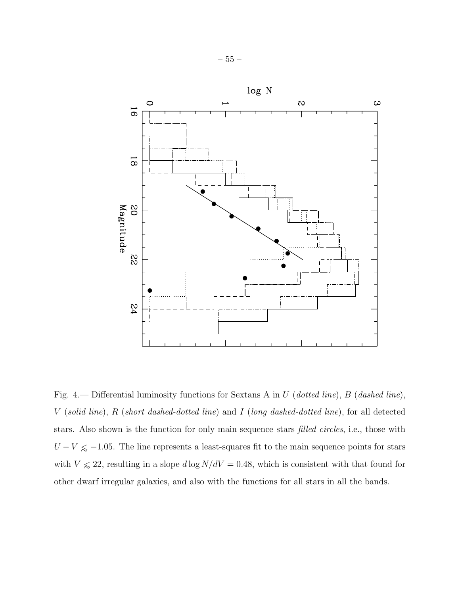

Fig. 4.— Differential luminosity functions for Sextans A in U (*dotted line*), B (*dashed line*), V (*solid line*), R (*short dashed-dotted line*) and I (*long dashed-dotted line*), for all detected stars. Also shown is the function for only main sequence stars *filled circles*, i.e., those with  $U - V \le -1.05$ . The line represents a least-squares fit to the main sequence points for stars with  $V \le 22$ , resulting in a slope  $d \log N/dV = 0.48$ , which is consistent with that found for other dwarf irregular galaxies, and also with the functions for all stars in all the bands.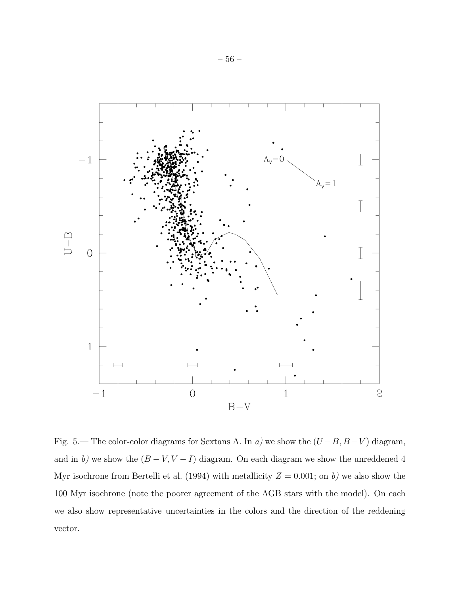

Fig. 5.— The color-color diagrams for Sextans A. In *a)* we show the  $(U - B, B - V)$  diagram, and in *b*) we show the  $(B - V, V - I)$  diagram. On each diagram we show the unreddened 4 Myr isochrone from Bertelli et al. (1994) with metallicity  $Z = 0.001$ ; on *b*) we also show the 100 Myr isochrone (note the poorer agreement of the AGB stars with the model). On each we also show representative uncertainties in the colors and the direction of the reddening vector.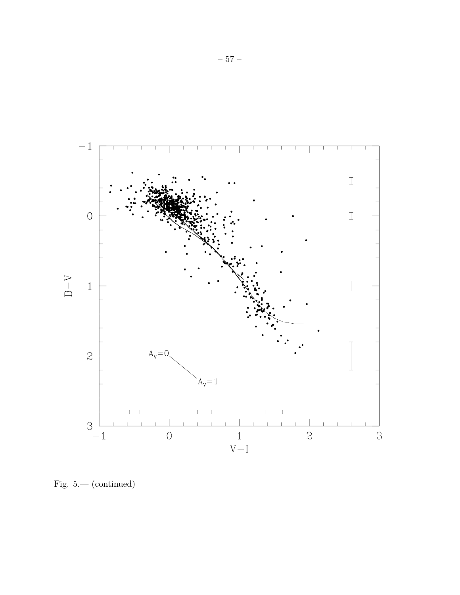

Fig. 5.— (continued)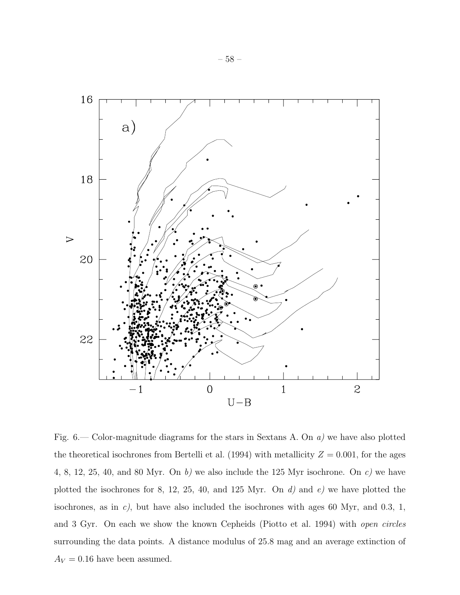

Fig. 6.— Color-magnitude diagrams for the stars in Sextans A. On *a)* we have also plotted the theoretical isochrones from Bertelli et al. (1994) with metallicity  $Z = 0.001$ , for the ages 4, 8, 12, 25, 40, and 80 Myr. On *b)* we also include the 125 Myr isochrone. On *c)* we have plotted the isochrones for 8, 12, 25, 40, and 125 Myr. On *d)* and *e)* we have plotted the isochrones, as in *c)*, but have also included the isochrones with ages 60 Myr, and 0.3, 1, and 3 Gyr. On each we show the known Cepheids (Piotto et al. 1994) with *open circles* surrounding the data points. A distance modulus of 25.8 mag and an average extinction of  $A_V=0.16$  have been assumed.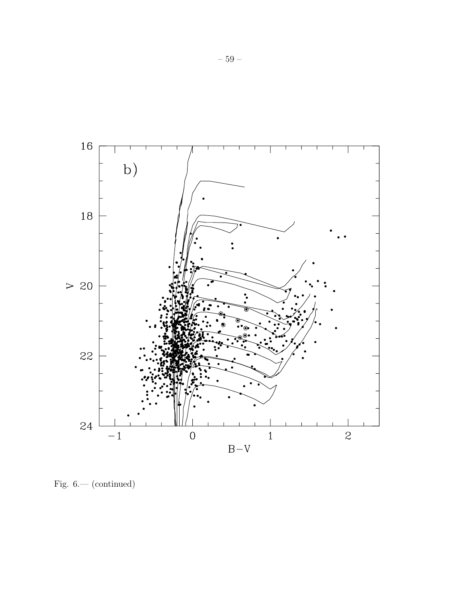

Fig.  $6$  — (continued)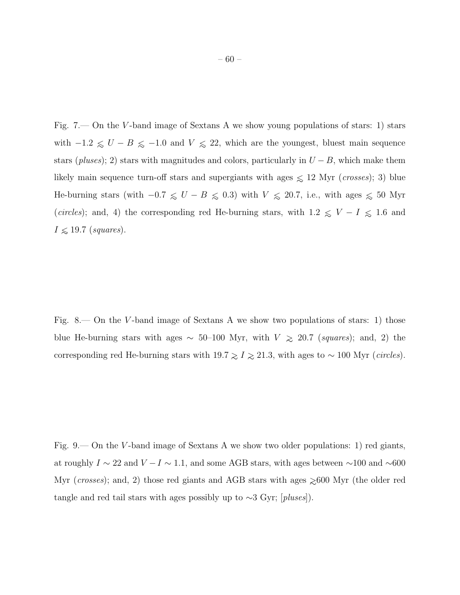Fig.  $7$ — On the V-band image of Sextans A we show young populations of stars: 1) stars with  $-1.2 \le U - B \le -1.0$  and  $V \le 22$ , which are the youngest, bluest main sequence stars ( $pluses$ ); 2) stars with magnitudes and colors, particularly in  $U - B$ , which make them likely main sequence turn-off stars and supergiants with ages ∼< 12 Myr (*crosses*); 3) blue He-burning stars (with  $-0.7 \le U - B \le 0.3$ ) with  $V \le 20.7$ , i.e., with ages  $\le 50$  Myr (*circles*); and, 4) the corresponding red He-burning stars, with  $1.2 \leq V - I \leq 1.6$  and  $I \leq 19.7$  (*squares*).

Fig. 8.— On the V -band image of Sextans A we show two populations of stars: 1) those blue He-burning stars with ages  $\sim$  50–100 Myr, with  $V$   $\gtrsim$  20.7 (*squares*); and, 2) the corresponding red He-burning stars with  $19.7 \geq I \geq 21.3$ , with ages to ~ 100 Myr (*circles*).

Fig.  $9$ — On the V-band image of Sextans A we show two older populations: 1) red giants, at roughly  $I \sim 22$  and  $V - I \sim 1.1$ , and some AGB stars, with ages between ∼100 and ∼600 Myr (*crosses*); and, 2) those red giants and AGB stars with ages  $\geq 600$  Myr (the older red tangle and red tail stars with ages possibly up to ∼3 Gyr; [*pluses*]).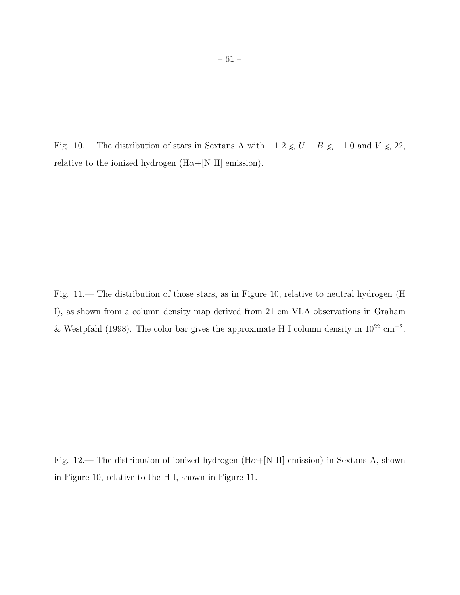Fig. 10.— The distribution of stars in Sextans A with  $-1.2 \lesssim U-B \lesssim -1.0$  and  $V \lesssim 22,$ relative to the ionized hydrogen ( $H\alpha+[N II]$  emission).

Fig. 11.— The distribution of those stars, as in Figure 10, relative to neutral hydrogen (H I), as shown from a column density map derived from 21 cm VLA observations in Graham & Westpfahl (1998). The color bar gives the approximate H I column density in  $10^{22}$  cm<sup>-2</sup>.

Fig. 12.— The distribution of ionized hydrogen ( $H\alpha+[N II]$  emission) in Sextans A, shown in Figure 10, relative to the H I, shown in Figure 11.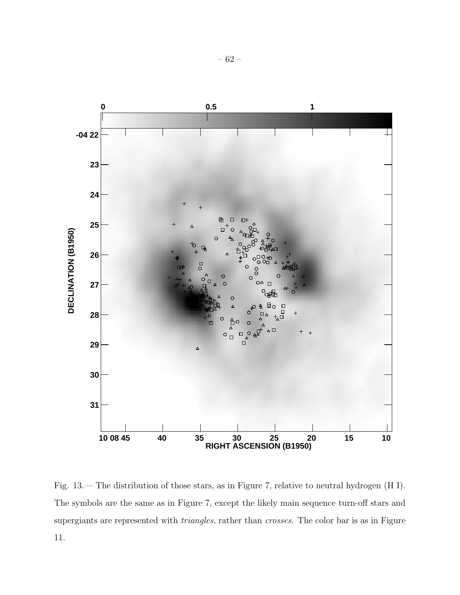

Fig. 13.— The distribution of those stars, as in Figure 7, relative to neutral hydrogen (H I). The symbols are the same as in Figure 7, except the likely main sequence turn-off stars and supergiants are represented with *triangles*, rather than *crosses*. The color bar is as in Figure 11.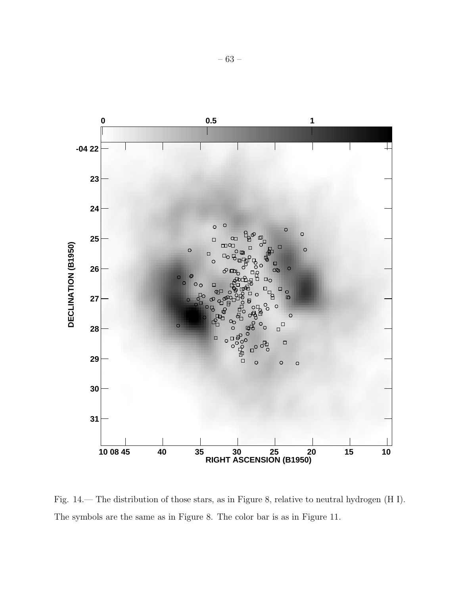

Fig. 14.— The distribution of those stars, as in Figure 8, relative to neutral hydrogen (H I). The symbols are the same as in Figure 8. The color bar is as in Figure 11.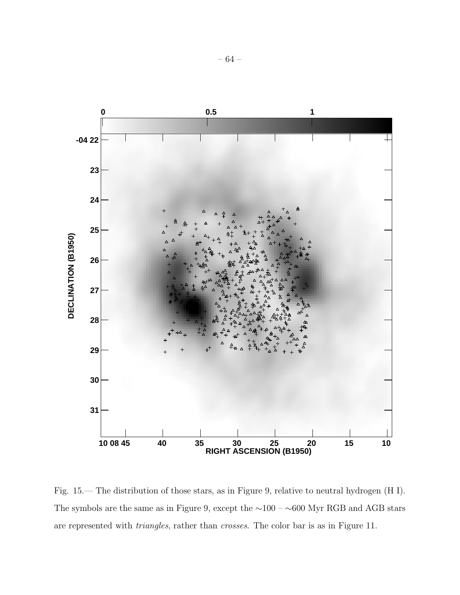

Fig. 15.— The distribution of those stars, as in Figure 9, relative to neutral hydrogen (H I). The symbols are the same as in Figure 9, except the ∼100 – ∼600 Myr RGB and AGB stars are represented with *triangles*, rather than *crosses*. The color bar is as in Figure 11.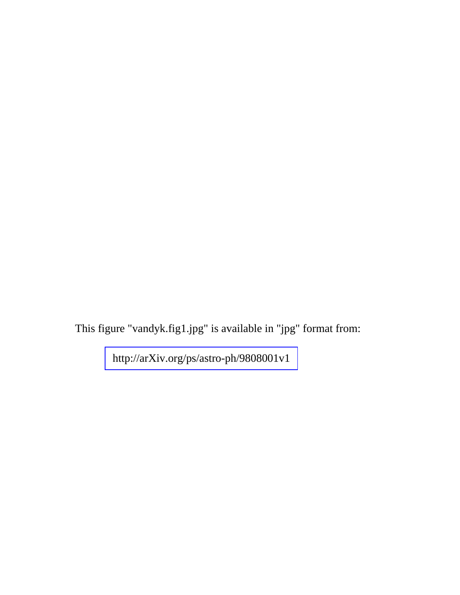This figure "vandyk.fig1.jpg" is available in "jpg" format from: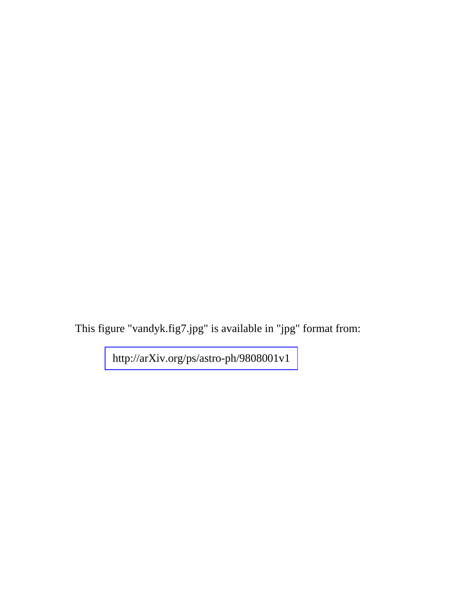This figure "vandyk.fig7.jpg" is available in "jpg" format from: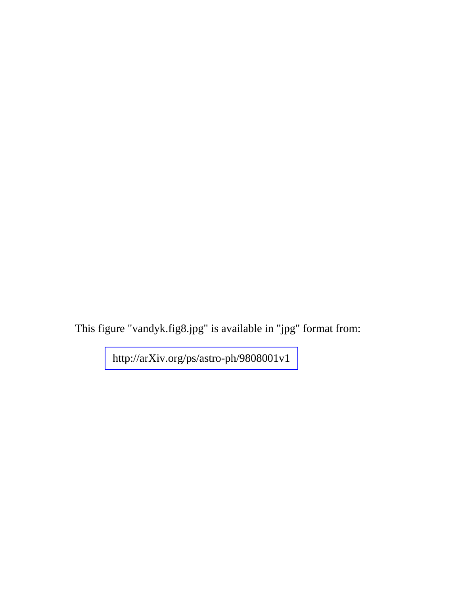This figure "vandyk.fig8.jpg" is available in "jpg" format from: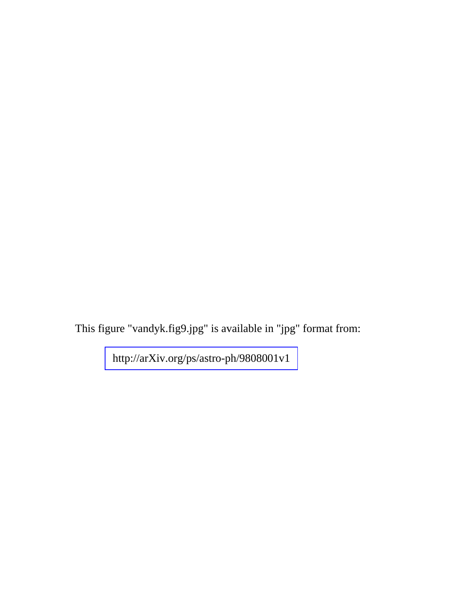This figure "vandyk.fig9.jpg" is available in "jpg" format from: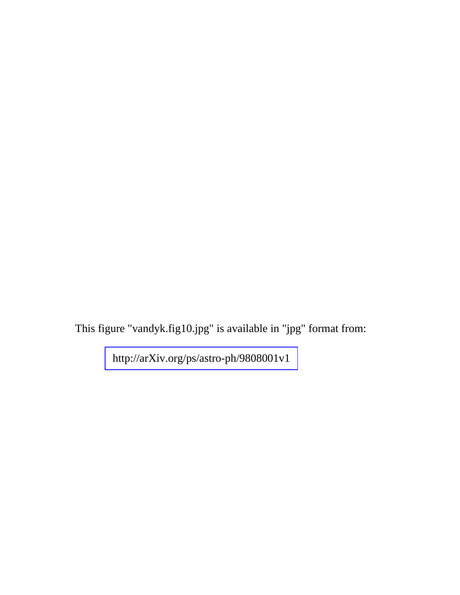This figure "vandyk.fig10.jpg" is available in "jpg" format from: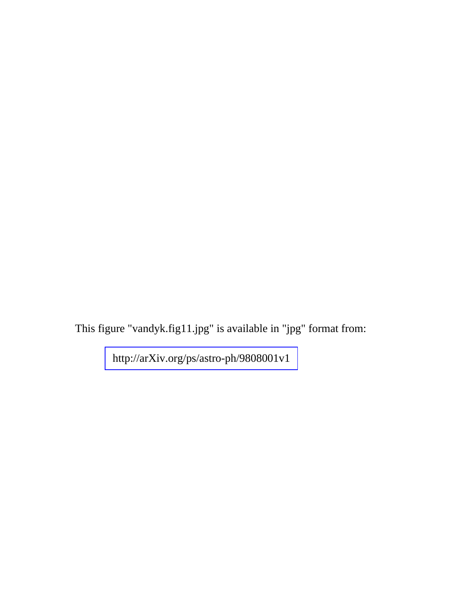This figure "vandyk.fig11.jpg" is available in "jpg" format from: